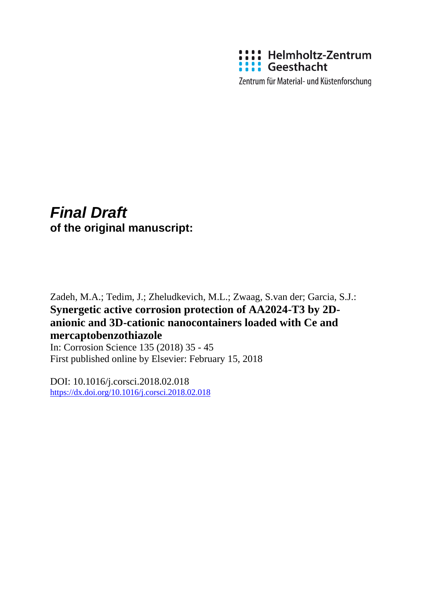

Zentrum für Material- und Küstenforschung

# *Final Draft*  **of the original manuscript:**

Zadeh, M.A.; Tedim, J.; Zheludkevich, M.L.; Zwaag, S.van der; Garcia, S.J.: **Synergetic active corrosion protection of AA2024-T3 by 2Danionic and 3D-cationic nanocontainers loaded with Ce and mercaptobenzothiazole**

In: Corrosion Science 135 (2018) 35 - 45 First published online by Elsevier: February 15, 2018

DOI: 10.1016/j.corsci.2018.02.018 <https://dx.doi.org/10.1016/j.corsci.2018.02.018>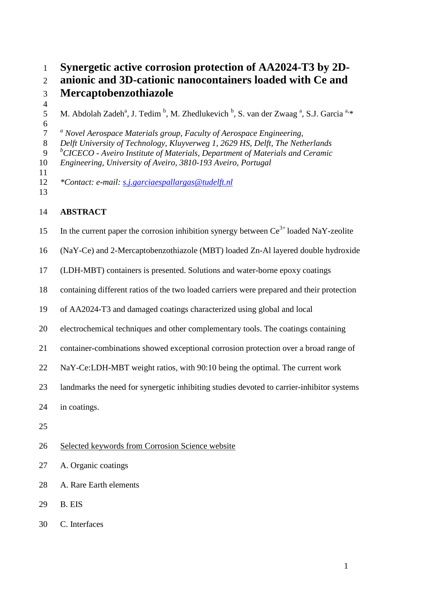1 **Synergetic active corrosion protection of AA2024-T3 by 2D-**

2 **anionic and 3D-cationic nanocontainers loaded with Ce and** 

3 **Mercaptobenzothiazole** 

4

6

5 M. Abdolah Zadeh<sup>a</sup>, J. Tedim<sup>b</sup>, M. Zhedlukevich <sup>b</sup>, S. van der Zwaag<sup>a</sup>, S.J. Garcia<sup>a,\*</sup>

*a* 7 *Novel Aerospace Materials group, Faculty of Aerospace Engineering,* 

8 *Delft University of Technology, Kluyverweg 1, 2629 HS, Delft, The Netherlands* 

*b* 9 *CICECO - Aveiro Institute of Materials, Department of Materials and Ceramic* 

10 *Engineering, University of Aveiro, 3810-193 Aveiro, Portugal* 

11

12 *\*Contact: e-mail: s.j.garciaespallargas@tudelft.nl* 13

## 14 **ABSTRACT**

15 In the current paper the corrosion inhibition synergy between  $Ce^{3+}$  loaded NaY-zeolite

16 (NaY-Ce) and 2-Mercaptobenzothiazole (MBT) loaded Zn-Al layered double hydroxide

17 (LDH-MBT) containers is presented. Solutions and water-borne epoxy coatings

- 18 containing different ratios of the two loaded carriers were prepared and their protection
- 19 of AA2024-T3 and damaged coatings characterized using global and local
- 20 electrochemical techniques and other complementary tools. The coatings containing
- 21 container-combinations showed exceptional corrosion protection over a broad range of
- 22 NaY-Ce:LDH-MBT weight ratios, with 90:10 being the optimal. The current work
- 23 landmarks the need for synergetic inhibiting studies devoted to carrier-inhibitor systems
- 24 in coatings.
- 25
- 26 Selected keywords from Corrosion Science website
- 27 A. Organic coatings
- 28 A. Rare Earth elements
- 29 B. EIS
- 30 C. Interfaces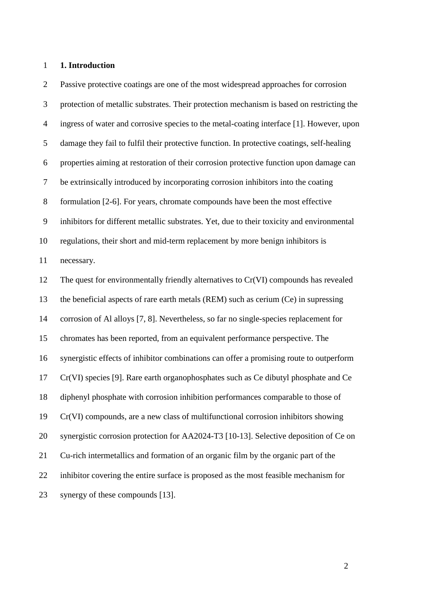#### 1 **1. Introduction**

2 Passive protective coatings are one of the most widespread approaches for corrosion 3 protection of metallic substrates. Their protection mechanism is based on restricting the 4 ingress of water and corrosive species to the metal-coating interface [1]. However, upon 5 damage they fail to fulfil their protective function. In protective coatings, self-healing 6 properties aiming at restoration of their corrosion protective function upon damage can 7 be extrinsically introduced by incorporating corrosion inhibitors into the coating 8 formulation [2-6]. For years, chromate compounds have been the most effective 9 inhibitors for different metallic substrates. Yet, due to their toxicity and environmental 10 regulations, their short and mid-term replacement by more benign inhibitors is 11 necessary. 12 The quest for environmentally friendly alternatives to Cr(VI) compounds has revealed 13 the beneficial aspects of rare earth metals (REM) such as cerium (Ce) in supressing 14 corrosion of Al alloys [7, 8]. Nevertheless, so far no single-species replacement for 15 chromates has been reported, from an equivalent performance perspective. The 16 synergistic effects of inhibitor combinations can offer a promising route to outperform 17 Cr(VI) species [9]. Rare earth organophosphates such as Ce dibutyl phosphate and Ce 18 diphenyl phosphate with corrosion inhibition performances comparable to those of 19 Cr(VI) compounds, are a new class of multifunctional corrosion inhibitors showing 20 synergistic corrosion protection for AA2024-T3 [10-13]. Selective deposition of Ce on 21 Cu-rich intermetallics and formation of an organic film by the organic part of the 22 inhibitor covering the entire surface is proposed as the most feasible mechanism for 23 synergy of these compounds [13].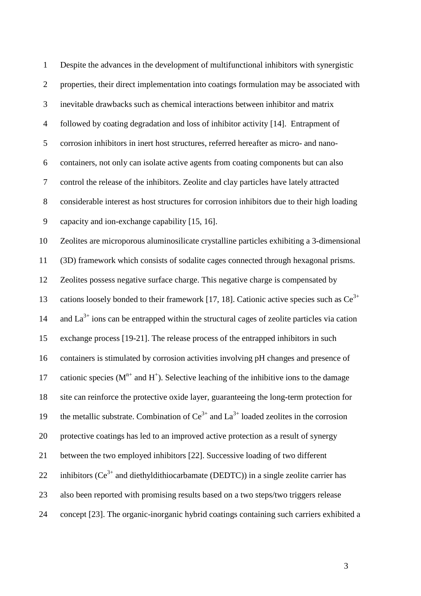| $\mathbf{1}$   | Despite the advances in the development of multifunctional inhibitors with synergistic          |
|----------------|-------------------------------------------------------------------------------------------------|
| $\overline{2}$ | properties, their direct implementation into coatings formulation may be associated with        |
| $\mathfrak{Z}$ | inevitable drawbacks such as chemical interactions between inhibitor and matrix                 |
| $\overline{4}$ | followed by coating degradation and loss of inhibitor activity [14]. Entrapment of              |
| $\mathfrak{S}$ | corrosion inhibitors in inert host structures, referred hereafter as micro- and nano-           |
| 6              | containers, not only can isolate active agents from coating components but can also             |
| $\tau$         | control the release of the inhibitors. Zeolite and clay particles have lately attracted         |
| $8\,$          | considerable interest as host structures for corrosion inhibitors due to their high loading     |
| $\mathbf{9}$   | capacity and ion-exchange capability [15, 16].                                                  |
| 10             | Zeolites are microporous aluminosilicate crystalline particles exhibiting a 3-dimensional       |
| 11             | (3D) framework which consists of sodalite cages connected through hexagonal prisms.             |
| 12             | Zeolites possess negative surface charge. This negative charge is compensated by                |
| 13             | cations loosely bonded to their framework [17, 18]. Cationic active species such as $Ce^{3+}$   |
| 14             | and $La^{3+}$ ions can be entrapped within the structural cages of zeolite particles via cation |
| 15             | exchange process [19-21]. The release process of the entrapped inhibitors in such               |
| 16             | containers is stimulated by corrosion activities involving pH changes and presence of           |
| 17             | cationic species ( $Mn+$ and $H+$ ). Selective leaching of the inhibitive ions to the damage    |
| 18             | site can reinforce the protective oxide layer, guaranteeing the long-term protection for        |
| 19             | the metallic substrate. Combination of $Ce^{3+}$ and $La^{3+}$ loaded zeolites in the corrosion |
| 20             | protective coatings has led to an improved active protection as a result of synergy             |
| 21             | between the two employed inhibitors [22]. Successive loading of two different                   |
| 22             | inhibitors ( $Ce^{3+}$ and diethyldithiocarbamate (DEDTC)) in a single zeolite carrier has      |
| 23             | also been reported with promising results based on a two steps/two triggers release             |
| 24             | concept [23]. The organic-inorganic hybrid coatings containing such carriers exhibited a        |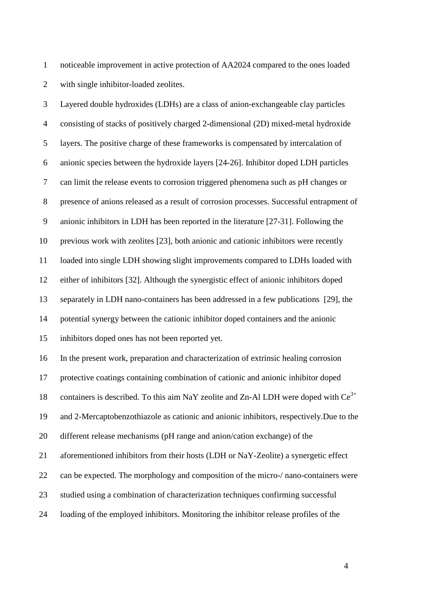1 noticeable improvement in active protection of AA2024 compared to the ones loaded 2 with single inhibitor-loaded zeolites.

3 Layered double hydroxides (LDHs) are a class of anion-exchangeable clay particles 4 consisting of stacks of positively charged 2-dimensional (2D) mixed-metal hydroxide 5 layers. The positive charge of these frameworks is compensated by intercalation of 6 anionic species between the hydroxide layers [24-26]. Inhibitor doped LDH particles 7 can limit the release events to corrosion triggered phenomena such as pH changes or 8 presence of anions released as a result of corrosion processes. Successful entrapment of 9 anionic inhibitors in LDH has been reported in the literature [27-31]. Following the 10 previous work with zeolites [23], both anionic and cationic inhibitors were recently 11 loaded into single LDH showing slight improvements compared to LDHs loaded with 12 either of inhibitors [32]. Although the synergistic effect of anionic inhibitors doped 13 separately in LDH nano-containers has been addressed in a few publications [29], the 14 potential synergy between the cationic inhibitor doped containers and the anionic 15 inhibitors doped ones has not been reported yet. 16 In the present work, preparation and characterization of extrinsic healing corrosion 17 protective coatings containing combination of cationic and anionic inhibitor doped 18 containers is described. To this aim NaY zeolite and Zn-Al LDH were doped with  $Ce^{3+}$ 19 and 2-Mercaptobenzothiazole as cationic and anionic inhibitors, respectively.Due to the 20 different release mechanisms (pH range and anion/cation exchange) of the 21 aforementioned inhibitors from their hosts (LDH or NaY-Zeolite) a synergetic effect 22 can be expected. The morphology and composition of the micro-/ nano-containers were 23 studied using a combination of characterization techniques confirming successful 24 loading of the employed inhibitors. Monitoring the inhibitor release profiles of the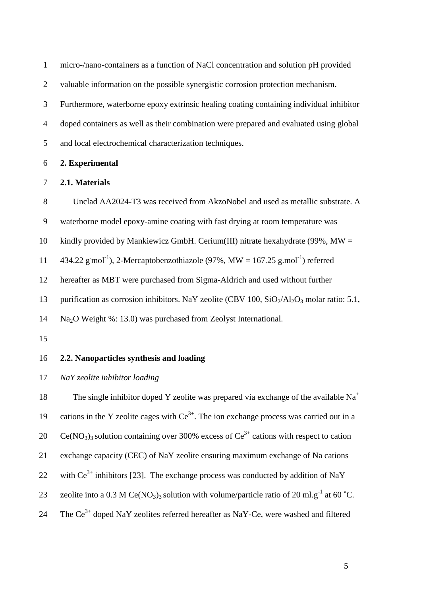| $\mathbf{1}$   | micro-/nano-containers as a function of NaCl concentration and solution pH provided                                           |
|----------------|-------------------------------------------------------------------------------------------------------------------------------|
| $\overline{2}$ | valuable information on the possible synergistic corrosion protection mechanism.                                              |
| 3              | Furthermore, waterborne epoxy extrinsic healing coating containing individual inhibitor                                       |
| $\overline{4}$ | doped containers as well as their combination were prepared and evaluated using global                                        |
| 5              | and local electrochemical characterization techniques.                                                                        |
| 6              | 2. Experimental                                                                                                               |
| $\tau$         | 2.1. Materials                                                                                                                |
| $8\,$          | Unclad AA2024-T3 was received from AkzoNobel and used as metallic substrate. A                                                |
| 9              | waterborne model epoxy-amine coating with fast drying at room temperature was                                                 |
| 10             | kindly provided by Mankiewicz GmbH. Cerium(III) nitrate hexahydrate (99%, $MW =$                                              |
| 11             | 434.22 g mol <sup>-1</sup> ), 2-Mercaptobenzothiazole (97%, MW = $167.25$ g mol <sup>-1</sup> ) referred                      |
| 12             | hereafter as MBT were purchased from Sigma-Aldrich and used without further                                                   |
| 13             | purification as corrosion inhibitors. NaY zeolite (CBV 100, $SiO_2/Al_2O_3$ molar ratio: 5.1,                                 |
| 14             | Na <sub>2</sub> O Weight %: 13.0) was purchased from Zeolyst International.                                                   |
| 15             |                                                                                                                               |
| 16             | 2.2. Nanoparticles synthesis and loading                                                                                      |
| 17             | NaY zeolite inhibitor loading                                                                                                 |
| 18             | The single inhibitor doped Y zeolite was prepared via exchange of the available $Na+$                                         |
| 19             | cations in the Y zeolite cages with $Ce^{3+}$ . The ion exchange process was carried out in a                                 |
| 20             | $Ce(NO3)3$ solution containing over 300% excess of $Ce3+$ cations with respect to cation                                      |
| 21             | exchange capacity (CEC) of NaY zeolite ensuring maximum exchange of Na cations                                                |
| 22             | with $Ce^{3+}$ inhibitors [23]. The exchange process was conducted by addition of NaY                                         |
| 23             | zeolite into a 0.3 M Ce(NO <sub>3</sub> ) <sub>3</sub> solution with volume/particle ratio of 20 ml.g <sup>-1</sup> at 60 °C. |

24 The  $Ce^{3+}$  doped NaY zeolites referred hereafter as NaY-Ce, were washed and filtered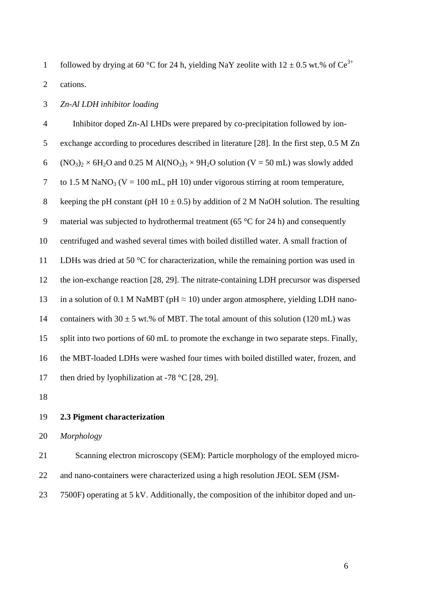followed by drying at 60 °C for 24 h, yielding NaY zeolite with  $12 \pm 0.5$  wt.% of Ce<sup>3+</sup> 2 cations.

## 3 *Zn-Al LDH inhibitor loading*

4 Inhibitor doped Zn-Al LHDs were prepared by co-precipitation followed by ion-5 exchange according to procedures described in literature [28]. In the first step, 0.5 M Zn 6 (NO<sub>3</sub>)<sub>2</sub>  $\times$  6H<sub>2</sub>O and 0.25 M Al(NO<sub>3</sub>)<sub>3</sub>  $\times$  9H<sub>2</sub>O solution (V = 50 mL) was slowly added 7 to 1.5 M NaNO<sub>3</sub> (V = 100 mL, pH 10) under vigorous stirring at room temperature, 8 keeping the pH constant (pH  $10 \pm 0.5$ ) by addition of 2 M NaOH solution. The resulting 9 material was subjected to hydrothermal treatment (65 °C for 24 h) and consequently 10 centrifuged and washed several times with boiled distilled water. A small fraction of 11 LDHs was dried at 50 °C for characterization, while the remaining portion was used in 12 the ion-exchange reaction [28, 29]. The nitrate-containing LDH precursor was dispersed 13 in a solution of 0.1 M NaMBT ( $pH \approx 10$ ) under argon atmosphere, yielding LDH nano-14 containers with  $30 \pm 5$  wt.% of MBT. The total amount of this solution (120 mL) was 15 split into two portions of 60 mL to promote the exchange in two separate steps. Finally, 16 the MBT-loaded LDHs were washed four times with boiled distilled water, frozen, and 17 then dried by lyophilization at -78  $\degree$ C [28, 29].

18

## 19 **2.3 Pigment characterization**

20 *Morphology*

21 Scanning electron microscopy (SEM): Particle morphology of the employed micro-22 and nano-containers were characterized using a high resolution JEOL SEM (JSM-

23 7500F) operating at 5 kV. Additionally, the composition of the inhibitor doped and un-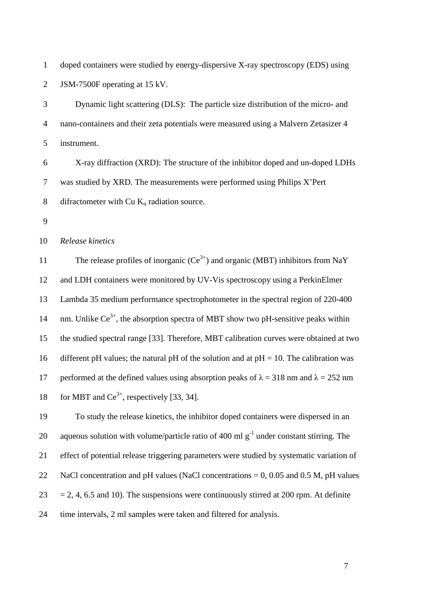1 doped containers were studied by energy-dispersive X-ray spectroscopy (EDS) using 2 JSM-7500F operating at 15 kV.

3 Dynamic light scattering (DLS): The particle size distribution of the micro- and 4 nano-containers and their zeta potentials were measured using a Malvern Zetasizer 4 5 instrument.

6 X-ray diffraction (XRD): The structure of the inhibitor doped and un-doped LDHs 7 was studied by XRD. The measurements were performed using Philips X'Pert 8 difractometer with Cu  $K_{\alpha}$  radiation source.

9

10 *Release kinetics*

11 The release profiles of inorganic  $(Ce^{3+})$  and organic (MBT) inhibitors from NaY 12 and LDH containers were monitored by UV-Vis spectroscopy using a PerkinElmer 13 Lambda 35 medium performance spectrophotometer in the spectral region of 220-400 14 nm. Unlike  $Ce^{3+}$ , the absorption spectra of MBT show two pH-sensitive peaks within 15 the studied spectral range [33]. Therefore, MBT calibration curves were obtained at two 16 different pH values; the natural pH of the solution and at  $pH = 10$ . The calibration was 17 performed at the defined values using absorption peaks of  $\lambda = 318$  nm and  $\lambda = 252$  nm 18 for MBT and  $\text{Ce}^{3+}$ , respectively [33, 34].

19 To study the release kinetics, the inhibitor doped containers were dispersed in an 20 aqueous solution with volume/particle ratio of 400 ml  $g^{-1}$  under constant stirring. The 21 effect of potential release triggering parameters were studied by systematic variation of 22 NaCl concentration and pH values (NaCl concentrations  $= 0$ , 0.05 and 0.5 M, pH values  $23 = 2, 4, 6.5$  and 10). The suspensions were continuously stirred at 200 rpm. At definite 24 time intervals, 2 ml samples were taken and filtered for analysis.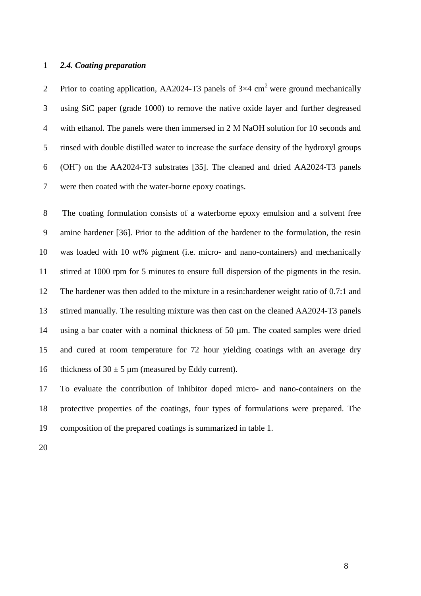#### 1 *2.4. Coating preparation*

Prior to coating application, AA2024-T3 panels of  $3\times4$  cm<sup>2</sup> were ground mechanically 3 using SiC paper (grade 1000) to remove the native oxide layer and further degreased 4 with ethanol. The panels were then immersed in 2 M NaOH solution for 10 seconds and 5 rinsed with double distilled water to increase the surface density of the hydroxyl groups 6 (OH¯) on the AA2024-T3 substrates [35]. The cleaned and dried AA2024-T3 panels 7 were then coated with the water-borne epoxy coatings.

8 The coating formulation consists of a waterborne epoxy emulsion and a solvent free 9 amine hardener [36]. Prior to the addition of the hardener to the formulation, the resin 10 was loaded with 10 wt% pigment (i.e. micro- and nano-containers) and mechanically 11 stirred at 1000 rpm for 5 minutes to ensure full dispersion of the pigments in the resin. 12 The hardener was then added to the mixture in a resin:hardener weight ratio of 0.7:1 and 13 stirred manually. The resulting mixture was then cast on the cleaned AA2024-T3 panels 14 using a bar coater with a nominal thickness of 50 µm. The coated samples were dried 15 and cured at room temperature for 72 hour yielding coatings with an average dry 16 thickness of  $30 \pm 5 \,\text{\mu m}$  (measured by Eddy current).

17 To evaluate the contribution of inhibitor doped micro- and nano-containers on the 18 protective properties of the coatings, four types of formulations were prepared. The 19 composition of the prepared coatings is summarized in table 1.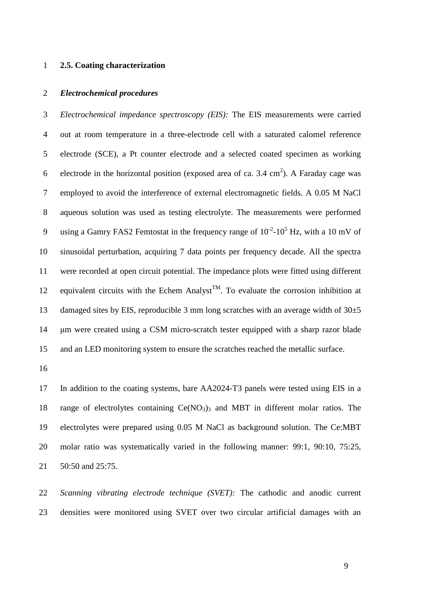#### 1 **2.5. Coating characterization**

#### 2 *Electrochemical procedures*

3 *Electrochemical impedance spectroscopy (EIS):* The EIS measurements were carried 4 out at room temperature in a three-electrode cell with a saturated calomel reference 5 electrode (SCE), a Pt counter electrode and a selected coated specimen as working 6 electrode in the horizontal position (exposed area of ca. 3.4 cm<sup>2</sup>). A Faraday cage was 7 employed to avoid the interference of external electromagnetic fields. A 0.05 M NaCl 8 aqueous solution was used as testing electrolyte. The measurements were performed 9 using a Gamry FAS2 Femtostat in the frequency range of  $10^{-2}$ - $10^{5}$  Hz, with a 10 mV of 10 sinusoidal perturbation, acquiring 7 data points per frequency decade. All the spectra 11 were recorded at open circuit potential. The impedance plots were fitted using different 12 equivalent circuits with the Echem Analyst<sup>TM</sup>. To evaluate the corrosion inhibition at 13 damaged sites by EIS, reproducible 3 mm long scratches with an average width of  $30\pm5$ 14 um were created using a CSM micro-scratch tester equipped with a sharp razor blade 15 and an LED monitoring system to ensure the scratches reached the metallic surface.

16

17 In addition to the coating systems, bare AA2024-T3 panels were tested using EIS in a 18 range of electrolytes containing  $Ce(NO<sub>3</sub>)<sub>3</sub>$  and MBT in different molar ratios. The 19 electrolytes were prepared using 0.05 M NaCl as background solution. The Ce:MBT 20 molar ratio was systematically varied in the following manner: 99:1, 90:10, 75:25, 21 50:50 and 25:75.

22 *Scanning vibrating electrode technique (SVET):* The cathodic and anodic current 23 densities were monitored using SVET over two circular artificial damages with an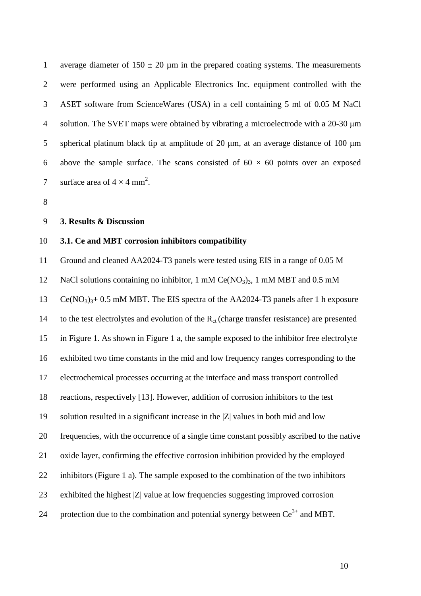1 average diameter of  $150 \pm 20$  µm in the prepared coating systems. The measurements 2 were performed using an Applicable Electronics Inc. equipment controlled with the 3 ASET software from ScienceWares (USA) in a cell containing 5 ml of 0.05 M NaCl 4 solution. The SVET maps were obtained by vibrating a microelectrode with a 20-30 µm 5 spherical platinum black tip at amplitude of 20  $\mu$ m, at an average distance of 100  $\mu$ m 6 above the sample surface. The scans consisted of  $60 \times 60$  points over an exposed 7 surface area of  $4 \times 4$  mm<sup>2</sup>.

8

#### 9 **3. Results & Discussion**

#### 10 **3.1. Ce and MBT corrosion inhibitors compatibility**

11 Ground and cleaned AA2024-T3 panels were tested using EIS in a range of 0.05 M 12 NaCl solutions containing no inhibitor, 1 mM Ce(NO<sub>3</sub>)<sub>3</sub>, 1 mM MBT and 0.5 mM 13 Ce(NO<sub>3</sub>)<sub>3</sub>+ 0.5 mM MBT. The EIS spectra of the AA2024-T3 panels after 1 h exposure 14 to the test electrolytes and evolution of the  $R_{ct}$  (charge transfer resistance) are presented 15 in Figure 1. As shown in Figure 1 a, the sample exposed to the inhibitor free electrolyte 16 exhibited two time constants in the mid and low frequency ranges corresponding to the 17 electrochemical processes occurring at the interface and mass transport controlled 18 reactions, respectively [13]. However, addition of corrosion inhibitors to the test 19 solution resulted in a significant increase in the |Z| values in both mid and low 20 frequencies, with the occurrence of a single time constant possibly ascribed to the native 21 oxide layer, confirming the effective corrosion inhibition provided by the employed 22 inhibitors (Figure 1 a). The sample exposed to the combination of the two inhibitors 23 exhibited the highest |Z| value at low frequencies suggesting improved corrosion 24 protection due to the combination and potential synergy between  $Ce^{3+}$  and MBT.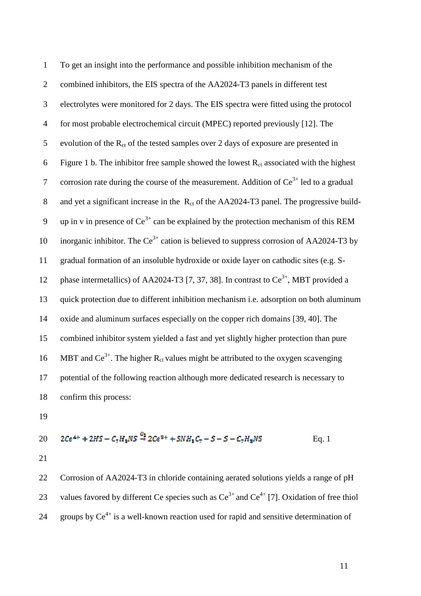| $\mathbf{1}$   | To get an insight into the performance and possible inhibition mechanism of the               |
|----------------|-----------------------------------------------------------------------------------------------|
| $\overline{2}$ | combined inhibitors, the EIS spectra of the AA2024-T3 panels in different test                |
| 3              | electrolytes were monitored for 2 days. The EIS spectra were fitted using the protocol        |
| $\overline{4}$ | for most probable electrochemical circuit (MPEC) reported previously [12]. The                |
| 5              | evolution of the $R_{ct}$ of the tested samples over 2 days of exposure are presented in      |
| 6              | Figure 1 b. The inhibitor free sample showed the lowest $R_{ct}$ associated with the highest  |
| $\tau$         | corrosion rate during the course of the measurement. Addition of $Ce^{3+}$ led to a gradual   |
| 8              | and yet a significant increase in the $R_{ct}$ of the AA2024-T3 panel. The progressive build- |
| $\mathbf{9}$   | up in v in presence of $Ce^{3+}$ can be explained by the protection mechanism of this REM     |
| 10             | inorganic inhibitor. The $Ce^{3+}$ cation is believed to suppress corrosion of AA2024-T3 by   |
| 11             | gradual formation of an insoluble hydroxide or oxide layer on cathodic sites (e.g. S-         |
| 12             | phase intermetallics) of AA2024-T3 [7, 37, 38]. In contrast to $Ce^{3+}$ , MBT provided a     |
| 13             | quick protection due to different inhibition mechanism i.e. adsorption on both aluminum       |
| 14             | oxide and aluminum surfaces especially on the copper rich domains [39, 40]. The               |
| 15             | combined inhibitor system yielded a fast and yet slightly higher protection than pure         |
| 16             | MBT and $Ce^{3+}$ . The higher $R_{ct}$ values might be attributed to the oxygen scavenging   |
| 17             | potential of the following reaction although more dedicated research is necessary to          |
| 18             | confirm this process:                                                                         |

20 
$$
2Ce^{4+} + 2HS - C_7H_8NS \stackrel{0_2}{\rightarrow} 2Ce^{8+} + SNH_8C_7 - S - S - C_7H_8NS
$$
 Eq. 1

22 Corrosion of AA2024-T3 in chloride containing aerated solutions yields a range of pH 23 values favored by different Ce species such as  $Ce^{3+}$  and  $Ce^{4+}$  [7]. Oxidation of free thiol 24 groups by  $Ce^{4+}$  is a well-known reaction used for rapid and sensitive determination of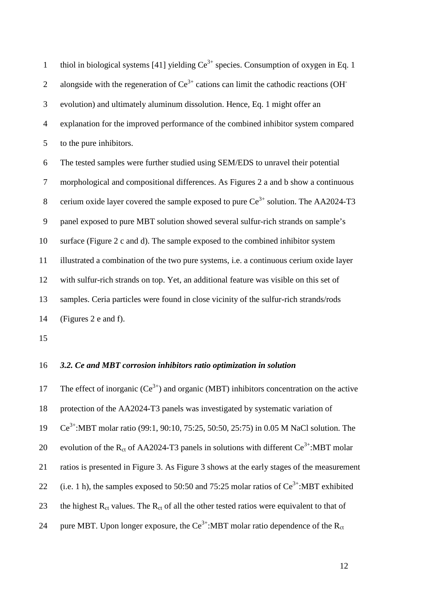thiol in biological systems [41] yielding  $Ce^{3+}$  species. Consumption of oxygen in Eq. 1 2 alongside with the regeneration of  $Ce^{3+}$  cations can limit the cathodic reactions (OH<sup>-</sup> 3 evolution) and ultimately aluminum dissolution. Hence, Eq. 1 might offer an 4 explanation for the improved performance of the combined inhibitor system compared 5 to the pure inhibitors. 6 The tested samples were further studied using SEM/EDS to unravel their potential 7 morphological and compositional differences. As Figures 2 a and b show a continuous 8 cerium oxide layer covered the sample exposed to pure  $Ce^{3+}$  solution. The AA2024-T3 9 panel exposed to pure MBT solution showed several sulfur-rich strands on sample's 10 surface (Figure 2 c and d). The sample exposed to the combined inhibitor system 11 illustrated a combination of the two pure systems, i.e. a continuous cerium oxide layer 12 with sulfur-rich strands on top. Yet, an additional feature was visible on this set of 13 samples. Ceria particles were found in close vicinity of the sulfur-rich strands/rods 14 (Figures 2 e and f).

15

#### 16 *3.2. Ce and MBT corrosion inhibitors ratio optimization in solution*

17 The effect of inorganic  $(Ce^{3+})$  and organic (MBT) inhibitors concentration on the active 18 protection of the AA2024-T3 panels was investigated by systematic variation of 19 Ce<sup>3+</sup>:MBT molar ratio (99:1, 90:10, 75:25, 50:50, 25:75) in 0.05 M NaCl solution. The 20 evolution of the R<sub>ct</sub> of AA2024-T3 panels in solutions with different Ce<sup>3+</sup>:MBT molar 21 ratios is presented in Figure 3. As Figure 3 shows at the early stages of the measurement 22 (i.e. 1 h), the samples exposed to 50:50 and 75:25 molar ratios of  $Ce^{3+}$ :MBT exhibited 23 the highest  $R_{ct}$  values. The  $R_{ct}$  of all the other tested ratios were equivalent to that of 24 pure MBT. Upon longer exposure, the  $Ce^{3+}$ :MBT molar ratio dependence of the  $R_{ct}$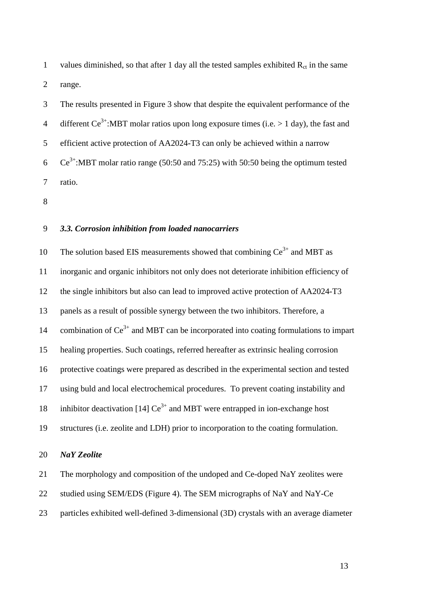1 values diminished, so that after 1 day all the tested samples exhibited  $R_{ct}$  in the same 2 range.

3 The results presented in Figure 3 show that despite the equivalent performance of the 4 different Ce<sup>3+</sup>:MBT molar ratios upon long exposure times (i.e.  $> 1$  day), the fast and 5 efficient active protection of AA2024-T3 can only be achieved within a narrow 6  $Ce^{3+}$ :MBT molar ratio range (50:50 and 75:25) with 50:50 being the optimum tested 7 ratio.

8

## 9 *3.3. Corrosion inhibition from loaded nanocarriers*

10 The solution based EIS measurements showed that combining  $Ce^{3+}$  and MBT as 11 inorganic and organic inhibitors not only does not deteriorate inhibition efficiency of 12 the single inhibitors but also can lead to improved active protection of AA2024-T3 13 panels as a result of possible synergy between the two inhibitors. Therefore, a 14 combination of  $Ce^{3+}$  and MBT can be incorporated into coating formulations to impart 15 healing properties. Such coatings, referred hereafter as extrinsic healing corrosion 16 protective coatings were prepared as described in the experimental section and tested 17 using buld and local electrochemical procedures. To prevent coating instability and 18 inhibitor deactivation [14]  $Ce^{3+}$  and MBT were entrapped in ion-exchange host 19 structures (i.e. zeolite and LDH) prior to incorporation to the coating formulation.

## 20 *NaY Zeolite*

21 The morphology and composition of the undoped and Ce-doped NaY zeolites were

22 studied using SEM/EDS (Figure 4). The SEM micrographs of NaY and NaY-Ce

23 particles exhibited well-defined 3-dimensional (3D) crystals with an average diameter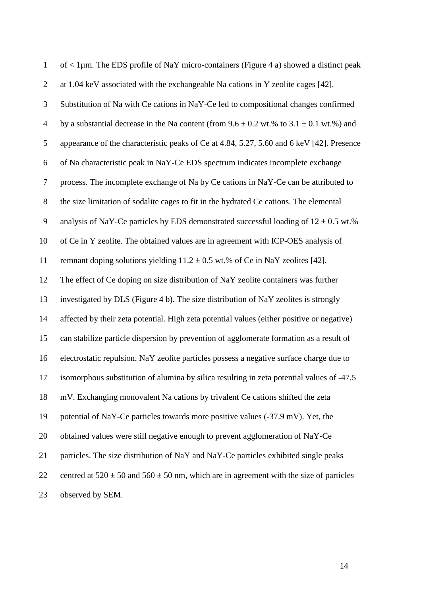| $\mathbf{1}$   | of $\langle$ 1µm. The EDS profile of NaY micro-containers (Figure 4 a) showed a distinct peak   |
|----------------|-------------------------------------------------------------------------------------------------|
| $\overline{2}$ | at 1.04 keV associated with the exchangeable Na cations in Y zeolite cages [42].                |
| 3              | Substitution of Na with Ce cations in NaY-Ce led to compositional changes confirmed             |
| $\overline{4}$ | by a substantial decrease in the Na content (from $9.6 \pm 0.2$ wt.% to $3.1 \pm 0.1$ wt.%) and |
| 5              | appearance of the characteristic peaks of Ce at 4.84, 5.27, 5.60 and 6 keV [42]. Presence       |
| 6              | of Na characteristic peak in NaY-Ce EDS spectrum indicates incomplete exchange                  |
| $\tau$         | process. The incomplete exchange of Na by Ce cations in NaY-Ce can be attributed to             |
| $8\,$          | the size limitation of sodalite cages to fit in the hydrated Ce cations. The elemental          |
| 9              | analysis of NaY-Ce particles by EDS demonstrated successful loading of $12 \pm 0.5$ wt.%        |
| 10             | of Ce in Y zeolite. The obtained values are in agreement with ICP-OES analysis of               |
| 11             | remnant doping solutions yielding $11.2 \pm 0.5$ wt.% of Ce in NaY zeolites [42].               |
| 12             | The effect of Ce doping on size distribution of NaY zeolite containers was further              |
| 13             | investigated by DLS (Figure 4 b). The size distribution of NaY zeolites is strongly             |
| 14             | affected by their zeta potential. High zeta potential values (either positive or negative)      |
| 15             | can stabilize particle dispersion by prevention of agglomerate formation as a result of         |
| 16             | electrostatic repulsion. NaY zeolite particles possess a negative surface charge due to         |
| 17             | isomorphous substitution of alumina by silica resulting in zeta potential values of -47.5       |
| 18             | mV. Exchanging monovalent Na cations by trivalent Ce cations shifted the zeta                   |
| 19             | potential of NaY-Ce particles towards more positive values (-37.9 mV). Yet, the                 |
| 20             | obtained values were still negative enough to prevent agglomeration of NaY-Ce                   |
| 21             | particles. The size distribution of NaY and NaY-Ce particles exhibited single peaks             |
| 22             | centred at $520 \pm 50$ and $560 \pm 50$ nm, which are in agreement with the size of particles  |
| 23             | observed by SEM.                                                                                |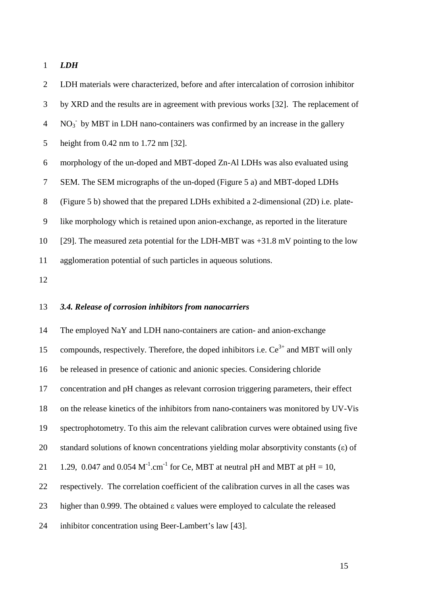1 *LDH* 

2 LDH materials were characterized, before and after intercalation of corrosion inhibitor 3 by XRD and the results are in agreement with previous works [32]. The replacement of  $4$  NO<sub>3</sub><sup>-</sup> by MBT in LDH nano-containers was confirmed by an increase in the gallery 5 height from 0.42 nm to 1.72 nm [32]. 6 morphology of the un-doped and MBT-doped Zn-Al LDHs was also evaluated using 7 SEM. The SEM micrographs of the un-doped (Figure 5 a) and MBT-doped LDHs 8 (Figure 5 b) showed that the prepared LDHs exhibited a 2-dimensional (2D) i.e. plate-9 like morphology which is retained upon anion-exchange, as reported in the literature 10 [29]. The measured zeta potential for the LDH-MBT was +31.8 mV pointing to the low 11 agglomeration potential of such particles in aqueous solutions.

12

## 13 *3.4. Release of corrosion inhibitors from nanocarriers*

14 The employed NaY and LDH nano-containers are cation- and anion-exchange 15 compounds, respectively. Therefore, the doped inhibitors i.e.  $Ce^{3+}$  and MBT will only 16 be released in presence of cationic and anionic species. Considering chloride 17 concentration and pH changes as relevant corrosion triggering parameters, their effect 18 on the release kinetics of the inhibitors from nano-containers was monitored by UV-Vis 19 spectrophotometry. To this aim the relevant calibration curves were obtained using five 20 standard solutions of known concentrations yielding molar absorptivity constants  $(\epsilon)$  of 21 1.29, 0.047 and 0.054  $M^{-1}$ .cm<sup>-1</sup> for Ce, MBT at neutral pH and MBT at pH = 10, 22 respectively. The correlation coefficient of the calibration curves in all the cases was 23 higher than 0.999. The obtained ε values were employed to calculate the released 24 inhibitor concentration using Beer-Lambert's law [43].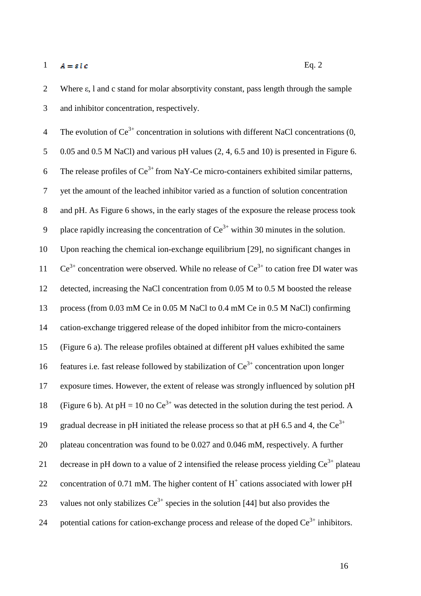1  $A = \varepsilon l c$  Eq. 2

2 Where ε, l and c stand for molar absorptivity constant, pass length through the sample 3 and inhibitor concentration, respectively.

4 The evolution of  $Ce^{3+}$  concentration in solutions with different NaCl concentrations (0, 5 0.05 and 0.5 M NaCl) and various pH values (2, 4, 6.5 and 10) is presented in Figure 6. 6 The release profiles of  $Ce^{3+}$  from NaY-Ce micro-containers exhibited similar patterns, 7 yet the amount of the leached inhibitor varied as a function of solution concentration 8 and pH. As Figure 6 shows, in the early stages of the exposure the release process took 9 blace rapidly increasing the concentration of  $Ce^{3+}$  within 30 minutes in the solution. 10 Upon reaching the chemical ion-exchange equilibrium [29], no significant changes in 11  $Ce^{3+}$  concentration were observed. While no release of  $Ce^{3+}$  to cation free DI water was 12 detected, increasing the NaCl concentration from 0.05 M to 0.5 M boosted the release 13 process (from 0.03 mM Ce in 0.05 M NaCl to 0.4 mM Ce in 0.5 M NaCl) confirming 14 cation-exchange triggered release of the doped inhibitor from the micro-containers 15 (Figure 6 a). The release profiles obtained at different pH values exhibited the same 16 features i.e. fast release followed by stabilization of  $Ce^{3+}$  concentration upon longer 17 exposure times. However, the extent of release was strongly influenced by solution pH 18 (Figure 6 b). At pH = 10 no  $Ce^{3+}$  was detected in the solution during the test period. A 19 gradual decrease in pH initiated the release process so that at pH 6.5 and 4, the  $Ce^{3+}$ 20 plateau concentration was found to be 0.027 and 0.046 mM, respectively. A further 21 decrease in pH down to a value of 2 intensified the release process yielding  $Ce^{3+}$  plateau 22 concentration of 0.71 mM. The higher content of  $H^+$  cations associated with lower pH 23 values not only stabilizes  $Ce^{3+}$  species in the solution [44] but also provides the 24 potential cations for cation-exchange process and release of the doped  $Ce^{3+}$  inhibitors.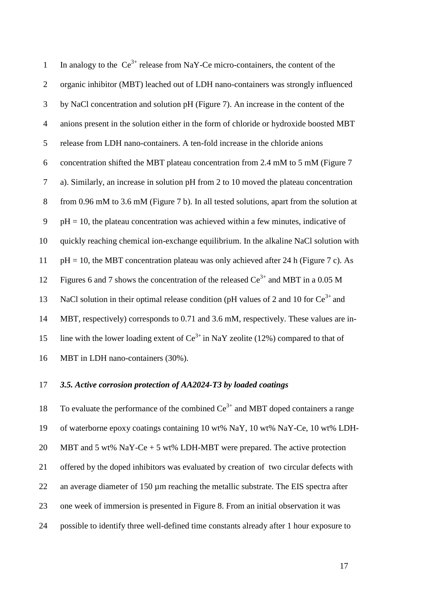| $\mathbf{1}$   | In analogy to the $Ce^{3+}$ release from NaY-Ce micro-containers, the content of the      |
|----------------|-------------------------------------------------------------------------------------------|
| $\overline{2}$ | organic inhibitor (MBT) leached out of LDH nano-containers was strongly influenced        |
| $\mathfrak{Z}$ | by NaCl concentration and solution pH (Figure 7). An increase in the content of the       |
| $\overline{4}$ | anions present in the solution either in the form of chloride or hydroxide boosted MBT    |
| 5              | release from LDH nano-containers. A ten-fold increase in the chloride anions              |
| 6              | concentration shifted the MBT plateau concentration from 2.4 mM to 5 mM (Figure 7         |
| $\tau$         | a). Similarly, an increase in solution pH from 2 to 10 moved the plateau concentration    |
| $8\,$          | from 0.96 mM to 3.6 mM (Figure 7 b). In all tested solutions, apart from the solution at  |
| 9              | $pH = 10$ , the plateau concentration was achieved within a few minutes, indicative of    |
| 10             | quickly reaching chemical ion-exchange equilibrium. In the alkaline NaCl solution with    |
| 11             | $pH = 10$ , the MBT concentration plateau was only achieved after 24 h (Figure 7 c). As   |
| 12             | Figures 6 and 7 shows the concentration of the released $Ce^{3+}$ and MBT in a 0.05 M     |
| 13             | NaCl solution in their optimal release condition (pH values of 2 and 10 for $Ce^{3+}$ and |
| 14             | MBT, respectively) corresponds to 0.71 and 3.6 mM, respectively. These values are in-     |
| 15             | line with the lower loading extent of $Ce^{3+}$ in NaY zeolite (12%) compared to that of  |
| 16             | MBT in LDH nano-containers (30%).                                                         |

## 17 *3.5. Active corrosion protection of AA2024-T3 by loaded coatings*

18 To evaluate the performance of the combined  $Ce^{3+}$  and MBT doped containers a range 19 of waterborne epoxy coatings containing 10 wt% NaY, 10 wt% NaY-Ce, 10 wt% LDH-20 MBT and 5 wt% NaY-Ce  $+$  5 wt% LDH-MBT were prepared. The active protection 21 offered by the doped inhibitors was evaluated by creation of two circular defects with 22 an average diameter of 150 µm reaching the metallic substrate. The EIS spectra after 23 one week of immersion is presented in Figure 8. From an initial observation it was 24 possible to identify three well-defined time constants already after 1 hour exposure to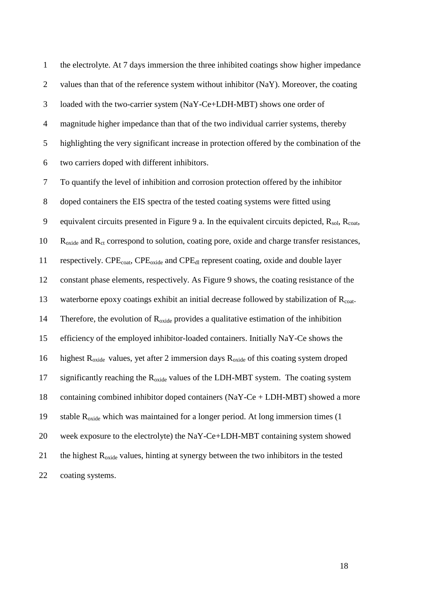1 the electrolyte. At 7 days immersion the three inhibited coatings show higher impedance 2 values than that of the reference system without inhibitor (NaY). Moreover, the coating 3 loaded with the two-carrier system (NaY-Ce+LDH-MBT) shows one order of 4 magnitude higher impedance than that of the two individual carrier systems, thereby 5 highlighting the very significant increase in protection offered by the combination of the 6 two carriers doped with different inhibitors.

7 To quantify the level of inhibition and corrosion protection offered by the inhibitor 8 doped containers the EIS spectra of the tested coating systems were fitted using 9 equivalent circuits presented in Figure 9 a. In the equivalent circuits depicted,  $R_{sol}$ ,  $R_{coat}$ ,  $R_{\text{oxide}}$  and  $R_{\text{ct}}$  correspond to solution, coating pore, oxide and charge transfer resistances, 11 respectively.  $CPE_{\text{cont}}$ ,  $CPE_{\text{oxide}}$  and  $CPE_{\text{dl}}$  represent coating, oxide and double layer 12 constant phase elements, respectively. As Figure 9 shows, the coating resistance of the 13 waterborne epoxy coatings exhibit an initial decrease followed by stabilization of  $R_{\text{cont}}$ . 14 Therefore, the evolution of  $R_{\text{oxide}}$  provides a qualitative estimation of the inhibition 15 efficiency of the employed inhibitor-loaded containers. Initially NaY-Ce shows the 16 highest  $R_{\text{oxide}}$  values, yet after 2 immersion days  $R_{\text{oxide}}$  of this coating system droped 17 significantly reaching the  $R_{\text{oxide}}$  values of the LDH-MBT system. The coating system 18 containing combined inhibitor doped containers (NaY-Ce + LDH-MBT) showed a more 19 stable  $R_{\text{oxide}}$  which was maintained for a longer period. At long immersion times (1) 20 week exposure to the electrolyte) the NaY-Ce+LDH-MBT containing system showed 21 the highest  $R_{\text{oxide}}$  values, hinting at synergy between the two inhibitors in the tested 22 coating systems.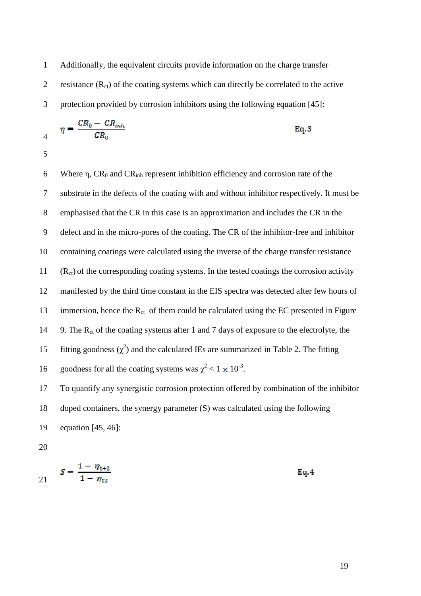1 Additionally, the equivalent circuits provide information on the charge transfer 2 resistance  $(R_{ct})$  of the coating systems which can directly be correlated to the active 3 protection provided by corrosion inhibitors using the following equation [45]:

$$
\eta = \frac{CR_0 - CR_{inh}}{CR_0} \tag{Eq.3}
$$

5

4

6 Where  $\eta$ , CR<sub>0</sub> and CR<sub>inh</sub> represent inhibition efficiency and corrosion rate of the 7 substrate in the defects of the coating with and without inhibitor respectively. It must be 8 emphasised that the CR in this case is an approximation and includes the CR in the 9 defect and in the micro-pores of the coating. The CR of the inhibitor-free and inhibitor 10 containing coatings were calculated using the inverse of the charge transfer resistance  $11$  (R<sub>ct</sub>) of the corresponding coating systems. In the tested coatings the corrosion activity 12 manifested by the third time constant in the EIS spectra was detected after few hours of 13 immersion, hence the  $R_{ct}$  of them could be calculated using the EC presented in Figure 14 9. The  $R_{ct}$  of the coating systems after 1 and 7 days of exposure to the electrolyte, the 15 fitting goodness  $(\chi^2)$  and the calculated IEs are summarized in Table 2. The fitting 16 goodness for all the coating systems was  $\chi^2 < 1 \times 10^{-3}$ .

17 To quantify any synergistic corrosion protection offered by combination of the inhibitor 18 doped containers, the synergy parameter (S) was calculated using the following 19 equation [45, 46]:

$$
S = \frac{1 - \eta_{1+2}}{1 - \eta_{12}} \tag{Eq.4}
$$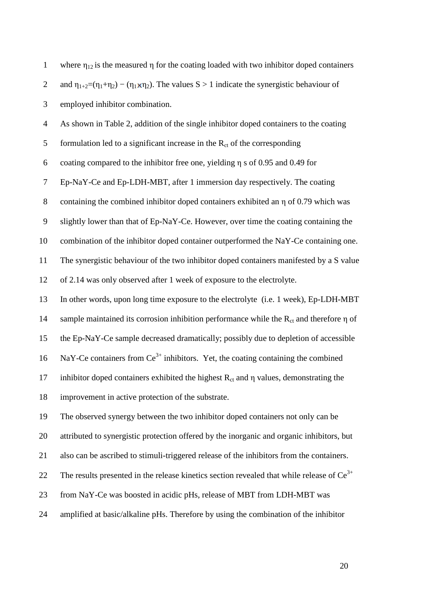| $\mathbf{1}$     | where $\eta_{12}$ is the measured $\eta$ for the coating loaded with two inhibitor doped containers                    |
|------------------|------------------------------------------------------------------------------------------------------------------------|
| $\overline{2}$   | and $\eta_{1+2} = (\eta_1 + \eta_2) - (\eta_1 \times \eta_2)$ . The values S > 1 indicate the synergistic behaviour of |
| 3                | employed inhibitor combination.                                                                                        |
| $\overline{4}$   | As shown in Table 2, addition of the single inhibitor doped containers to the coating                                  |
| 5                | formulation led to a significant increase in the $R_{ct}$ of the corresponding                                         |
| 6                | coating compared to the inhibitor free one, yielding $\eta$ s of 0.95 and 0.49 for                                     |
| 7                | Ep-NaY-Ce and Ep-LDH-MBT, after 1 immersion day respectively. The coating                                              |
| $8\,$            | containing the combined inhibitor doped containers exhibited an $\eta$ of 0.79 which was                               |
| $\boldsymbol{9}$ | slightly lower than that of Ep-NaY-Ce. However, over time the coating containing the                                   |
| 10               | combination of the inhibitor doped container outperformed the NaY-Ce containing one.                                   |
| 11               | The synergistic behaviour of the two inhibitor doped containers manifested by a S value                                |
| 12               | of 2.14 was only observed after 1 week of exposure to the electrolyte.                                                 |
| 13               | In other words, upon long time exposure to the electrolyte (i.e. 1 week), Ep-LDH-MBT                                   |
| 14               | sample maintained its corrosion inhibition performance while the $R_{ct}$ and therefore $\eta$ of                      |
| 15               | the Ep-NaY-Ce sample decreased dramatically; possibly due to depletion of accessible                                   |
| 16               | NaY-Ce containers from $Ce^{3+}$ inhibitors. Yet, the coating containing the combined                                  |
| 17               | inhibitor doped containers exhibited the highest $R_{ct}$ and $\eta$ values, demonstrating the                         |
| 18               | improvement in active protection of the substrate.                                                                     |
| 19               | The observed synergy between the two inhibitor doped containers not only can be                                        |
| 20               | attributed to synergistic protection offered by the inorganic and organic inhibitors, but                              |
| 21               | also can be ascribed to stimuli-triggered release of the inhibitors from the containers.                               |
| 22               | The results presented in the release kinetics section revealed that while release of $Ce^{3+}$                         |
| 23               | from NaY-Ce was boosted in acidic pHs, release of MBT from LDH-MBT was                                                 |
| 24               | amplified at basic/alkaline pHs. Therefore by using the combination of the inhibitor                                   |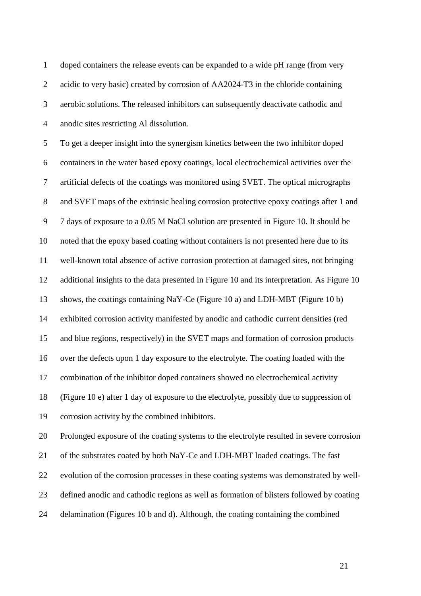1 doped containers the release events can be expanded to a wide pH range (from very 2 acidic to very basic) created by corrosion of AA2024-T3 in the chloride containing 3 aerobic solutions. The released inhibitors can subsequently deactivate cathodic and 4 anodic sites restricting Al dissolution.

5 To get a deeper insight into the synergism kinetics between the two inhibitor doped 6 containers in the water based epoxy coatings, local electrochemical activities over the 7 artificial defects of the coatings was monitored using SVET. The optical micrographs 8 and SVET maps of the extrinsic healing corrosion protective epoxy coatings after 1 and 9 7 days of exposure to a 0.05 M NaCl solution are presented in Figure 10. It should be 10 noted that the epoxy based coating without containers is not presented here due to its 11 well-known total absence of active corrosion protection at damaged sites, not bringing 12 additional insights to the data presented in Figure 10 and its interpretation. As Figure 10 13 shows, the coatings containing NaY-Ce (Figure 10 a) and LDH-MBT (Figure 10 b) 14 exhibited corrosion activity manifested by anodic and cathodic current densities (red 15 and blue regions, respectively) in the SVET maps and formation of corrosion products 16 over the defects upon 1 day exposure to the electrolyte. The coating loaded with the 17 combination of the inhibitor doped containers showed no electrochemical activity 18 (Figure 10 e) after 1 day of exposure to the electrolyte, possibly due to suppression of 19 corrosion activity by the combined inhibitors.

20 Prolonged exposure of the coating systems to the electrolyte resulted in severe corrosion 21 of the substrates coated by both NaY-Ce and LDH-MBT loaded coatings. The fast 22 evolution of the corrosion processes in these coating systems was demonstrated by well-23 defined anodic and cathodic regions as well as formation of blisters followed by coating 24 delamination (Figures 10 b and d). Although, the coating containing the combined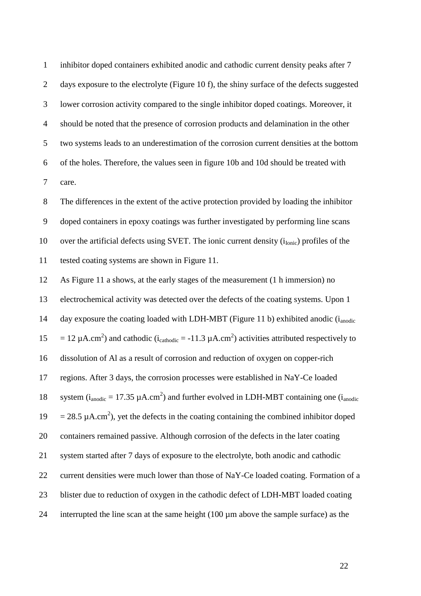1 inhibitor doped containers exhibited anodic and cathodic current density peaks after 7 2 days exposure to the electrolyte (Figure 10 f), the shiny surface of the defects suggested 3 lower corrosion activity compared to the single inhibitor doped coatings. Moreover, it 4 should be noted that the presence of corrosion products and delamination in the other 5 two systems leads to an underestimation of the corrosion current densities at the bottom 6 of the holes. Therefore, the values seen in figure 10b and 10d should be treated with 7 care.

8 The differences in the extent of the active protection provided by loading the inhibitor 9 doped containers in epoxy coatings was further investigated by performing line scans 10 over the artificial defects using SVET. The ionic current density  $(i<sub>Ionic</sub>)$  profiles of the 11 tested coating systems are shown in Figure 11.

12 As Figure 11 a shows, at the early stages of the measurement (1 h immersion) no 13 electrochemical activity was detected over the defects of the coating systems. Upon 1 14 day exposure the coating loaded with LDH-MBT (Figure 11 b) exhibited anodic  $(i_{\text{anodic}})$ 15 = 12  $\mu$ A.cm<sup>2</sup>) and cathodic (i<sub>cathodic</sub> = -11.3  $\mu$ A.cm<sup>2</sup>) activities attributed respectively to 16 dissolution of Al as a result of corrosion and reduction of oxygen on copper-rich 17 regions. After 3 days, the corrosion processes were established in NaY-Ce loaded 18 system  $(i_{anodic} = 17.35 \mu A.cm^2)$  and further evolved in LDH-MBT containing one  $(i_{anodic}$ 19 = 28.5  $\mu$ A.cm<sup>2</sup>), yet the defects in the coating containing the combined inhibitor doped 20 containers remained passive. Although corrosion of the defects in the later coating 21 system started after 7 days of exposure to the electrolyte, both anodic and cathodic 22 current densities were much lower than those of NaY-Ce loaded coating. Formation of a 23 blister due to reduction of oxygen in the cathodic defect of LDH-MBT loaded coating 24 interrupted the line scan at the same height  $(100 \mu m)$  above the sample surface) as the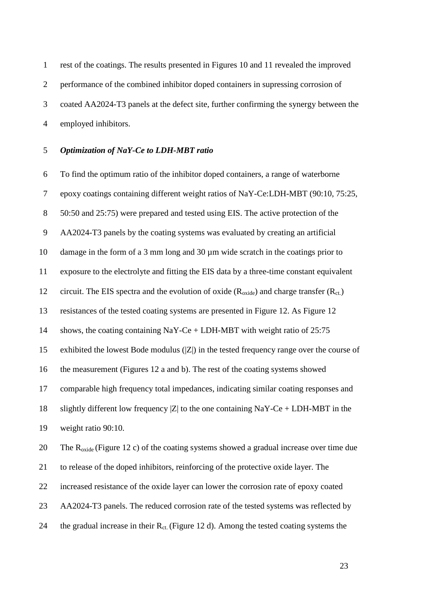1 rest of the coatings. The results presented in Figures 10 and 11 revealed the improved 2 performance of the combined inhibitor doped containers in supressing corrosion of 3 coated AA2024-T3 panels at the defect site, further confirming the synergy between the 4 employed inhibitors.

## 5 *Optimization of NaY-Ce to LDH-MBT ratio*

6 To find the optimum ratio of the inhibitor doped containers, a range of waterborne 7 epoxy coatings containing different weight ratios of NaY-Ce:LDH-MBT (90:10, 75:25, 8 50:50 and 25:75) were prepared and tested using EIS. The active protection of the 9 AA2024-T3 panels by the coating systems was evaluated by creating an artificial 10 damage in the form of a 3 mm long and 30 µm wide scratch in the coatings prior to 11 exposure to the electrolyte and fitting the EIS data by a three-time constant equivalent 12 circuit. The EIS spectra and the evolution of oxide  $(R_{\text{oxide}})$  and charge transfer  $(R_{\text{ct}})$ 13 resistances of the tested coating systems are presented in Figure 12. As Figure 12 14 shows, the coating containing NaY-Ce + LDH-MBT with weight ratio of 25:75 15 exhibited the lowest Bode modulus (|Z|) in the tested frequency range over the course of 16 the measurement (Figures 12 a and b). The rest of the coating systems showed 17 comparable high frequency total impedances, indicating similar coating responses and 18 slightly different low frequency  $|Z|$  to the one containing NaY-Ce + LDH-MBT in the 19 weight ratio 90:10. 20 The R<sub>oxide</sub> (Figure 12 c) of the coating systems showed a gradual increase over time due 21 to release of the doped inhibitors, reinforcing of the protective oxide layer. The 22 increased resistance of the oxide layer can lower the corrosion rate of epoxy coated

23 AA2024-T3 panels. The reduced corrosion rate of the tested systems was reflected by

24 the gradual increase in their  $R_{ct}$ . (Figure 12 d). Among the tested coating systems the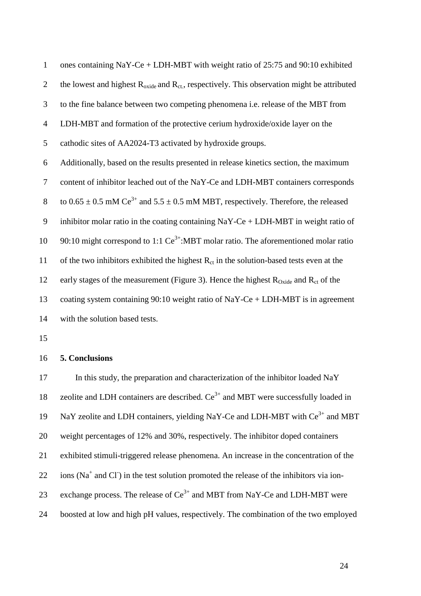| $\mathbf{1}$   | ones containing NaY-Ce + LDH-MBT with weight ratio of $25:75$ and 90:10 exhibited                                  |
|----------------|--------------------------------------------------------------------------------------------------------------------|
| $\overline{2}$ | the lowest and highest $R_{\text{oxide}}$ and $R_{\text{ct}}$ , respectively. This observation might be attributed |
| 3              | to the fine balance between two competing phenomena <i>i.e.</i> release of the MBT from                            |
| $\overline{4}$ | LDH-MBT and formation of the protective cerium hydroxide/oxide layer on the                                        |
| 5              | cathodic sites of AA2024-T3 activated by hydroxide groups.                                                         |
| 6              | Additionally, based on the results presented in release kinetics section, the maximum                              |
| $\tau$         | content of inhibitor leached out of the NaY-Ce and LDH-MBT containers corresponds                                  |
| 8              | to $0.65 \pm 0.5$ mM Ce <sup>3+</sup> and $5.5 \pm 0.5$ mM MBT, respectively. Therefore, the released              |
| 9              | inhibitor molar ratio in the coating containing $NaY-Ce + LDH-MBT$ in weight ratio of                              |
| 10             | 90:10 might correspond to 1:1 $Ce^{3+}$ :MBT molar ratio. The aforementioned molar ratio                           |
| 11             | of the two inhibitors exhibited the highest $R_{ct}$ in the solution-based tests even at the                       |
| 12             | early stages of the measurement (Figure 3). Hence the highest $R_{\text{Oxide}}$ and $R_{\text{ct}}$ of the        |
| 13             | coating system containing 90:10 weight ratio of NaY-Ce + LDH-MBT is in agreement                                   |
| 14             | with the solution based tests.                                                                                     |

#### 16 **5. Conclusions**

17 In this study, the preparation and characterization of the inhibitor loaded NaY 18 zeolite and LDH containers are described.  $\text{Ce}^{3+}$  and MBT were successfully loaded in 19 NaY zeolite and LDH containers, yielding NaY-Ce and LDH-MBT with  $Ce^{3+}$  and MBT 20 weight percentages of 12% and 30%, respectively. The inhibitor doped containers 21 exhibited stimuli-triggered release phenomena. An increase in the concentration of the  $22$  ions (Na<sup>+</sup> and Cl<sup>-</sup>) in the test solution promoted the release of the inhibitors via ion-23 exchange process. The release of  $Ce^{3+}$  and MBT from NaY-Ce and LDH-MBT were 24 boosted at low and high pH values, respectively. The combination of the two employed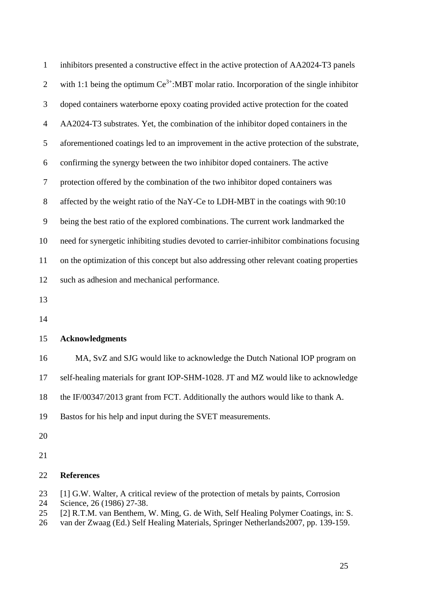| $\mathbf{1}$   | inhibitors presented a constructive effect in the active protection of AA2024-T3 panels      |
|----------------|----------------------------------------------------------------------------------------------|
| $\overline{2}$ | with 1:1 being the optimum $Ce^{3+}$ :MBT molar ratio. Incorporation of the single inhibitor |
| 3              | doped containers waterborne epoxy coating provided active protection for the coated          |
| $\overline{4}$ | AA2024-T3 substrates. Yet, the combination of the inhibitor doped containers in the          |
| 5              | aforementioned coatings led to an improvement in the active protection of the substrate,     |
| 6              | confirming the synergy between the two inhibitor doped containers. The active                |
| $\tau$         | protection offered by the combination of the two inhibitor doped containers was              |
| $8\,$          | affected by the weight ratio of the NaY-Ce to LDH-MBT in the coatings with 90:10             |
| 9              | being the best ratio of the explored combinations. The current work landmarked the           |
| 10             | need for synergetic inhibiting studies devoted to carrier-inhibitor combinations focusing    |
| 11             | on the optimization of this concept but also addressing other relevant coating properties    |
| 12             | such as adhesion and mechanical performance.                                                 |
| 13             |                                                                                              |
| 14             |                                                                                              |
| 15             | <b>Acknowledgments</b>                                                                       |
| 16             | MA, SvZ and SJG would like to acknowledge the Dutch National IOP program on                  |
| 17             | self-healing materials for grant IOP-SHM-1028. JT and MZ would like to acknowledge           |
| 18             | the IF/00347/2013 grant from FCT. Additionally the authors would like to thank A.            |
| 19             | Bastos for his help and input during the SVET measurements.                                  |
| 20             |                                                                                              |
| 21             |                                                                                              |
| 22             | <b>References</b>                                                                            |

- 23 [1] G.W. Walter, A critical review of the protection of metals by paints, Corrosion
- 
- 24 Science, 26 (1986) 27-38.<br>25 [2] R.T.M. van Benthem, 25 [2] R.T.M. van Benthem, W. Ming, G. de With, Self Healing Polymer Coatings, in: S.
- 26 van der Zwaag (Ed.) Self Healing Materials, Springer Netherlands2007, pp. 139-159.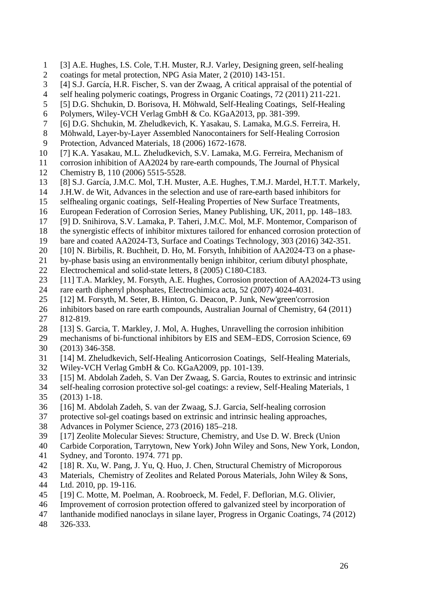- 1 [3] A.E. Hughes, I.S. Cole, T.H. Muster, R.J. Varley, Designing green, self-healing
- 2 coatings for metal protection, NPG Asia Mater, 2 (2010) 143-151.
- 3 [4] S.J. García, H.R. Fischer, S. van der Zwaag, A critical appraisal of the potential of
- 4 self healing polymeric coatings, Progress in Organic Coatings, 72 (2011) 211-221.
- 5 [5] D.G. Shchukin, D. Borisova, H. Möhwald, Self-Healing Coatings, Self-Healing
- 6 Polymers, Wiley-VCH Verlag GmbH & Co. KGaA2013, pp. 381-399.
- 7 [6] D.G. Shchukin, M. Zheludkevich, K. Yasakau, S. Lamaka, M.G.S. Ferreira, H.
- 8 Möhwald, Layer-by-Layer Assembled Nanocontainers for Self-Healing Corrosion
- 9 Protection, Advanced Materials, 18 (2006) 1672-1678.
- 10 [7] K.A. Yasakau, M.L. Zheludkevich, S.V. Lamaka, M.G. Ferreira, Mechanism of
- 11 corrosion inhibition of AA2024 by rare-earth compounds, The Journal of Physical 12 Chemistry B, 110 (2006) 5515-5528.
- 13 [8] S.J. García, J.M.C. Mol, T.H. Muster, A.E. Hughes, T.M.J. Mardel, H.T.T. Markely,
- 14 J.H.W. de Wit, Advances in the selection and use of rare-earth based inhibitors for
- 15 selfhealing organic coatings, Self-Healing Properties of New Surface Treatments,
- 16 European Federation of Corrosion Series, Maney Publishing, UK, 2011, pp. 148–183.
- 17 [9] D. Snihirova, S.V. Lamaka, P. Taheri, J.M.C. Mol, M.F. Montemor, Comparison of
- 18 the synergistic effects of inhibitor mixtures tailored for enhanced corrosion protection of
- 19 bare and coated AA2024-T3, Surface and Coatings Technology, 303 (2016) 342-351.
- 20 [10] N. Birbilis, R. Buchheit, D. Ho, M. Forsyth, Inhibition of AA2024-T3 on a phase-

21 by-phase basis using an environmentally benign inhibitor, cerium dibutyl phosphate, 22 Electrochemical and solid-state letters, 8 (2005) C180-C183.

- 23 [11] T.A. Markley, M. Forsyth, A.E. Hughes, Corrosion protection of AA2024-T3 using
- 24 rare earth diphenyl phosphates, Electrochimica acta, 52 (2007) 4024-4031.
- 25 [12] M. Forsyth, M. Seter, B. Hinton, G. Deacon, P. Junk, New'green'corrosion
- 26 inhibitors based on rare earth compounds, Australian Journal of Chemistry, 64 (2011) 27 812-819.
- 28 [13] S. Garcia, T. Markley, J. Mol, A. Hughes, Unravelling the corrosion inhibition
- 29 mechanisms of bi-functional inhibitors by EIS and SEM–EDS, Corrosion Science, 69 30 (2013) 346-358.
- 31 [14] M. Zheludkevich, Self-Healing Anticorrosion Coatings, Self-Healing Materials,
- 32 Wiley-VCH Verlag GmbH & Co. KGaA2009, pp. 101-139.
- 33 [15] M. Abdolah Zadeh, S. Van Der Zwaag, S. Garcia, Routes to extrinsic and intrinsic
- 34 self-healing corrosion protective sol-gel coatings: a review, Self-Healing Materials, 1 35 (2013) 1-18.
- 36 [16] M. Abdolah Zadeh, S. van der Zwaag, S.J. Garcia, Self-healing corrosion
- 37 protective sol-gel coatings based on extrinsic and intrinsic healing approaches,
- 38 Advances in Polymer Science, 273 (2016) 185–218.
- 39 [17] Zeolite Molecular Sieves: Structure, Chemistry, and Use D. W. Breck (Union
- 40 Carbide Corporation, Tarrytown, New York) John Wiley and Sons, New York, London,
- 41 Sydney, and Toronto. 1974. 771 pp.
- 42 [18] R. Xu, W. Pang, J. Yu, Q. Huo, J. Chen, Structural Chemistry of Microporous
- 43 Materials, Chemistry of Zeolites and Related Porous Materials, John Wiley & Sons,
- 44 Ltd. 2010, pp. 19-116.
- 45 [19] C. Motte, M. Poelman, A. Roobroeck, M. Fedel, F. Deflorian, M.G. Olivier,
- 46 Improvement of corrosion protection offered to galvanized steel by incorporation of
- 47 lanthanide modified nanoclays in silane layer, Progress in Organic Coatings, 74 (2012)
- 48 326-333.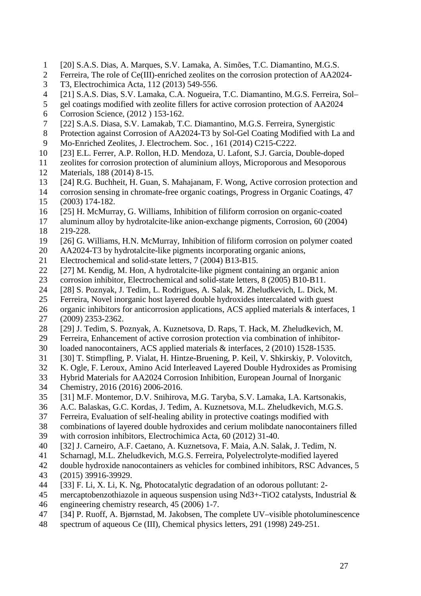- 1 [20] S.A.S. Dias, A. Marques, S.V. Lamaka, A. Simões, T.C. Diamantino, M.G.S.
- 2 Ferreira, The role of Ce(III)-enriched zeolites on the corrosion protection of AA2024-
- 3 T3, Electrochimica Acta, 112 (2013) 549-556.
- 4 [21] S.A.S. Dias, S.V. Lamaka, C.A. Nogueira, T.C. Diamantino, M.G.S. Ferreira, Sol–
- 5 gel coatings modified with zeolite fillers for active corrosion protection of AA2024
- 6 Corrosion Science, (2012 ) 153-162.
- 7 [22] S.A.S. Diasa, S.V. Lamakab, T.C. Diamantino, M.G.S. Ferreira, Synergistic
- 8 Protection against Corrosion of AA2024-T3 by Sol-Gel Coating Modified with La and
- 9 Mo-Enriched Zeolites, J. Electrochem. Soc. , 161 (2014) C215-C222.
- 10 [23] E.L. Ferrer, A.P. Rollon, H.D. Mendoza, U. Lafont, S.J. Garcia, Double-doped
- 11 zeolites for corrosion protection of aluminium alloys, Microporous and Mesoporous 12 Materials, 188 (2014) 8-15.
- 13 [24] R.G. Buchheit, H. Guan, S. Mahajanam, F. Wong, Active corrosion protection and
- 14 corrosion sensing in chromate-free organic coatings, Progress in Organic Coatings, 47 15 (2003) 174-182.
- 16 [25] H. McMurray, G. Williams, Inhibition of filiform corrosion on organic-coated
- 17 aluminum alloy by hydrotalcite-like anion-exchange pigments, Corrosion, 60 (2004) 18 219-228.
- 19 [26] G. Williams, H.N. McMurray, Inhibition of filiform corrosion on polymer coated
- 20 AA2024-T3 by hydrotalcite-like pigments incorporating organic anions,
- 21 Electrochemical and solid-state letters, 7 (2004) B13-B15.
- 22 [27] M. Kendig, M. Hon, A hydrotalcite-like pigment containing an organic anion
- 23 corrosion inhibitor, Electrochemical and solid-state letters, 8 (2005) B10-B11.
- 24 [28] S. Poznyak, J. Tedim, L. Rodrigues, A. Salak, M. Zheludkevich, L. Dick, M.
- 25 Ferreira, Novel inorganic host layered double hydroxides intercalated with guest
- 26 organic inhibitors for anticorrosion applications, ACS applied materials & interfaces, 1 27 (2009) 2353-2362.
- 28 [29] J. Tedim, S. Poznyak, A. Kuznetsova, D. Raps, T. Hack, M. Zheludkevich, M.
- 29 Ferreira, Enhancement of active corrosion protection via combination of inhibitor-
- 30 loaded nanocontainers, ACS applied materials & interfaces, 2 (2010) 1528-1535.
- 31 [30] T. Stimpfling, P. Vialat, H. Hintze-Bruening, P. Keil, V. Shkirskiy, P. Volovitch,
- 32 K. Ogle, F. Leroux, Amino Acid Interleaved Layered Double Hydroxides as Promising
- 33 Hybrid Materials for AA2024 Corrosion Inhibition, European Journal of Inorganic
- 34 Chemistry, 2016 (2016) 2006-2016.
- 35 [31] M.F. Montemor, D.V. Snihirova, M.G. Taryba, S.V. Lamaka, I.A. Kartsonakis,
- 36 A.C. Balaskas, G.C. Kordas, J. Tedim, A. Kuznetsova, M.L. Zheludkevich, M.G.S.
- 37 Ferreira, Evaluation of self-healing ability in protective coatings modified with
- 38 combinations of layered double hydroxides and cerium molibdate nanocontainers filled
- 39 with corrosion inhibitors, Electrochimica Acta, 60 (2012) 31-40.
- 40 [32] J. Carneiro, A.F. Caetano, A. Kuznetsova, F. Maia, A.N. Salak, J. Tedim, N.
- 41 Scharnagl, M.L. Zheludkevich, M.G.S. Ferreira, Polyelectrolyte-modified layered
- 42 double hydroxide nanocontainers as vehicles for combined inhibitors, RSC Advances, 5
- 43 (2015) 39916-39929.
- 44 [33] F. Li, X. Li, K. Ng, Photocatalytic degradation of an odorous pollutant: 2-
- 45 mercaptobenzothiazole in aqueous suspension using Nd3+-TiO2 catalysts, Industrial  $\&$
- 46 engineering chemistry research, 45 (2006) 1-7.
- 47 [34] P. Ruoff, A. Bjørnstad, M. Jakobsen, The complete UV–visible photoluminescence
- 48 spectrum of aqueous Ce (III), Chemical physics letters, 291 (1998) 249-251.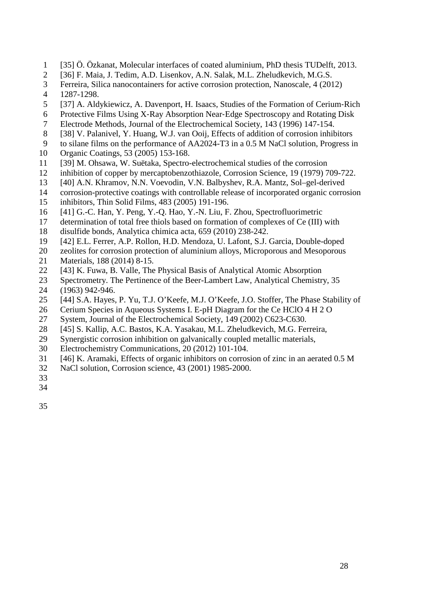- 1 [35] Ö. Özkanat, Molecular interfaces of coated aluminium, PhD thesis TUDelft, 2013.
- 2 [36] F. Maia, J. Tedim, A.D. Lisenkov, A.N. Salak, M.L. Zheludkevich, M.G.S.
- 3 Ferreira, Silica nanocontainers for active corrosion protection, Nanoscale, 4 (2012)
- 4 1287-1298.
- 5 [37] A. Aldykiewicz, A. Davenport, H. Isaacs, Studies of the Formation of Cerium‐Rich
- 6 Protective Films Using X‐Ray Absorption Near‐Edge Spectroscopy and Rotating Disk
- 7 Electrode Methods, Journal of the Electrochemical Society, 143 (1996) 147-154.
- 8 [38] V. Palanivel, Y. Huang, W.J. van Ooij, Effects of addition of corrosion inhibitors
- 9 to silane films on the performance of AA2024-T3 in a 0.5 M NaCl solution, Progress in
- 10 Organic Coatings, 53 (2005) 153-168.
- 11 [39] M. Ohsawa, W. Suëtaka, Spectro-electrochemical studies of the corrosion
- 12 inhibition of copper by mercaptobenzothiazole, Corrosion Science, 19 (1979) 709-722.
- 13 [40] A.N. Khramov, N.N. Voevodin, V.N. Balbyshev, R.A. Mantz, Sol–gel-derived
- 14 corrosion-protective coatings with controllable release of incorporated organic corrosion
- 15 inhibitors, Thin Solid Films, 483 (2005) 191-196.
- 16 [41] G.-C. Han, Y. Peng, Y.-Q. Hao, Y.-N. Liu, F. Zhou, Spectrofluorimetric
- 17 determination of total free thiols based on formation of complexes of Ce (III) with
- 18 disulfide bonds, Analytica chimica acta, 659 (2010) 238-242.
- 19 [42] E.L. Ferrer, A.P. Rollon, H.D. Mendoza, U. Lafont, S.J. Garcia, Double-doped
- 20 zeolites for corrosion protection of aluminium alloys, Microporous and Mesoporous
- 21 Materials, 188 (2014) 8-15.
- 22 [43] K. Fuwa, B. Valle, The Physical Basis of Analytical Atomic Absorption
- 23 Spectrometry. The Pertinence of the Beer-Lambert Law, Analytical Chemistry, 35 24 (1963) 942-946.
- 25 [44] S.A. Hayes, P. Yu, T.J. O'Keefe, M.J. O'Keefe, J.O. Stoffer, The Phase Stability of
- 26 Cerium Species in Aqueous Systems I. E-pH Diagram for the Ce HClO 4 H 2 O
- 27 System, Journal of the Electrochemical Society, 149 (2002) C623-C630.
- 28 [45] S. Kallip, A.C. Bastos, K.A. Yasakau, M.L. Zheludkevich, M.G. Ferreira,
- 29 Synergistic corrosion inhibition on galvanically coupled metallic materials,
- 30 Electrochemistry Communications, 20 (2012) 101-104.
- 31 [46] K. Aramaki, Effects of organic inhibitors on corrosion of zinc in an aerated 0.5 M
- 32 NaCl solution, Corrosion science, 43 (2001) 1985-2000.
- 33
- 34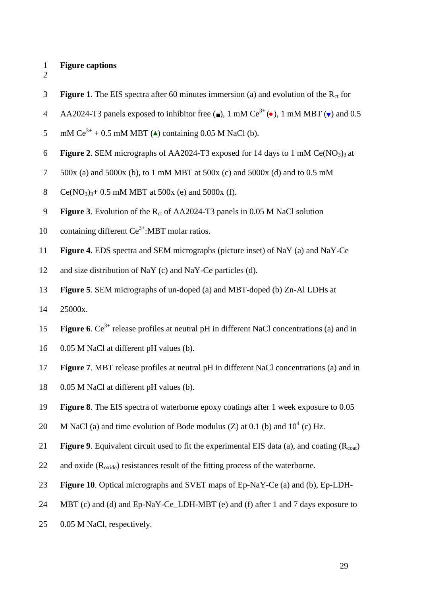#### 1 **Figure captions**

- 2
- **Figure 1.** The EIS spectra after 60 minutes immersion (a) and evolution of the  $R_{ct}$  for
- AA2024-T3 panels exposed to inhibitor free  $\left( \blacksquare \right)$ , 1 mM Ce<sup>3+</sup> ( $\bullet$ ), 1 mM MBT ( $\blacktriangledown$ ) and 0.5
- 5 mM  $Ce^{3+} + 0.5$  mM MBT (A) containing 0.05 M NaCl (b).
- 6 **Figure 2.** SEM micrographs of AA2024-T3 exposed for 14 days to 1 mM Ce(NO<sub>3</sub>)<sub>3</sub> at
- 7 500x (a) and 5000x (b), to 1 mM MBT at 500x (c) and 5000x (d) and to 0.5 mM
- 8 Ce(NO<sub>3</sub>)<sub>3</sub>+ 0.5 mM MBT at 500x (e) and 5000x (f).
- **Figure 3.** Evolution of the  $R_{ct}$  of AA2024-T3 panels in 0.05 M NaCl solution
- 10 containing different  $Ce^{3+}$ :MBT molar ratios.
- 11 **Figure 4**. EDS spectra and SEM micrographs (picture inset) of NaY (a) and NaY-Ce
- 12 and size distribution of NaY (c) and NaY-Ce particles (d).
- 13 **Figure 5**. SEM micrographs of un-doped (a) and MBT-doped (b) Zn-Al LDHs at
- 14 25000x.
- **Figure 6.**  $Ce^{3+}$  release profiles at neutral pH in different NaCl concentrations (a) and in
- 16 0.05 M NaCl at different pH values (b).
- 17 **Figure 7**. MBT release profiles at neutral pH in different NaCl concentrations (a) and in
- 18 0.05 M NaCl at different pH values (b).
- 19 **Figure 8**. The EIS spectra of waterborne epoxy coatings after 1 week exposure to 0.05
- 20 M NaCl (a) and time evolution of Bode modulus (Z) at 0.1 (b) and  $10^4$  (c) Hz.
- 21 **Figure 9**. Equivalent circuit used to fit the experimental EIS data (a), and coating (R<sub>coat</sub>)
- 22 and oxide  $(R_{\text{oxide}})$  resistances result of the fitting process of the waterborne.
- 23 **Figure 10**. Optical micrographs and SVET maps of Ep-NaY-Ce (a) and (b), Ep-LDH-
- 24 MBT (c) and (d) and Ep-NaY-Ce\_LDH-MBT (e) and (f) after 1 and 7 days exposure to
- 25 0.05 M NaCl, respectively.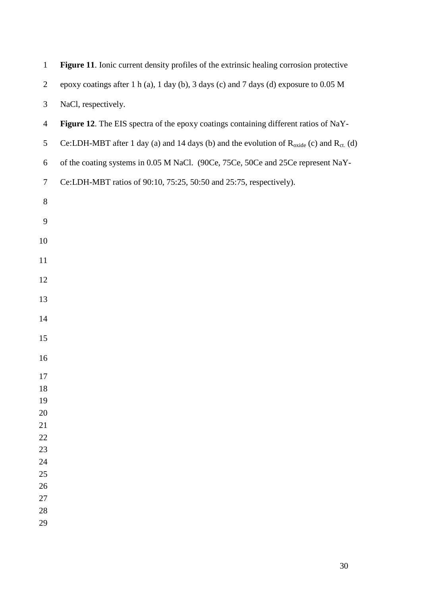| $\mathbf{1}$   | Figure 11. Ionic current density profiles of the extrinsic healing corrosion protective                        |
|----------------|----------------------------------------------------------------------------------------------------------------|
| $\overline{c}$ | epoxy coatings after 1 h (a), 1 day (b), 3 days (c) and 7 days (d) exposure to 0.05 M                          |
| 3              | NaCl, respectively.                                                                                            |
| $\overline{4}$ | Figure 12. The EIS spectra of the epoxy coatings containing different ratios of NaY-                           |
| 5              | Ce:LDH-MBT after 1 day (a) and 14 days (b) and the evolution of $R_{\text{oxide}}$ (c) and $R_{\text{ct}}$ (d) |
| 6              | of the coating systems in 0.05 M NaCl. (90Ce, 75Ce, 50Ce and 25Ce represent NaY-                               |
| $\tau$         | Ce:LDH-MBT ratios of 90:10, 75:25, 50:50 and 25:75, respectively).                                             |
| $8\,$          |                                                                                                                |
| 9              |                                                                                                                |
| 10             |                                                                                                                |
| 11             |                                                                                                                |
| 12             |                                                                                                                |
| 13             |                                                                                                                |
| 14             |                                                                                                                |
| 15             |                                                                                                                |
| 16             |                                                                                                                |
| 17             |                                                                                                                |
| 18             |                                                                                                                |
| 19             |                                                                                                                |
| 20             |                                                                                                                |
| 21             |                                                                                                                |
| 22             |                                                                                                                |
| 23             |                                                                                                                |
| 24             |                                                                                                                |
| 25             |                                                                                                                |
| 26             |                                                                                                                |
| 27<br>28       |                                                                                                                |
| 29             |                                                                                                                |
|                |                                                                                                                |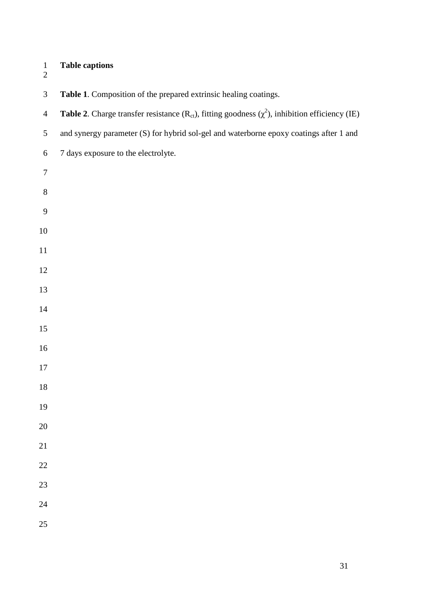- **Table captions**   $\frac{1}{2}$
- 

| $\mathfrak{Z}$   | Table 1. Composition of the prepared extrinsic healing coatings.                                                   |
|------------------|--------------------------------------------------------------------------------------------------------------------|
| $\overline{4}$   | <b>Table 2.</b> Charge transfer resistance ( $R_{ct}$ ), fitting goodness ( $\chi^2$ ), inhibition efficiency (IE) |
| $\mathfrak{S}$   | and synergy parameter (S) for hybrid sol-gel and waterborne epoxy coatings after 1 and                             |
| $\sqrt{6}$       | 7 days exposure to the electrolyte.                                                                                |
| $\boldsymbol{7}$ |                                                                                                                    |
| $\,8\,$          |                                                                                                                    |
| 9                |                                                                                                                    |
| $10\,$           |                                                                                                                    |
| $11\,$           |                                                                                                                    |
| 12               |                                                                                                                    |
| 13               |                                                                                                                    |
| $14\,$           |                                                                                                                    |
| 15               |                                                                                                                    |
| 16               |                                                                                                                    |
| $17\,$           |                                                                                                                    |
| $18\,$           |                                                                                                                    |
| 19               |                                                                                                                    |
| $20\,$           |                                                                                                                    |
| $21\,$           |                                                                                                                    |
| $22\,$           |                                                                                                                    |
| 23               |                                                                                                                    |
| $24\,$           |                                                                                                                    |
| 25               |                                                                                                                    |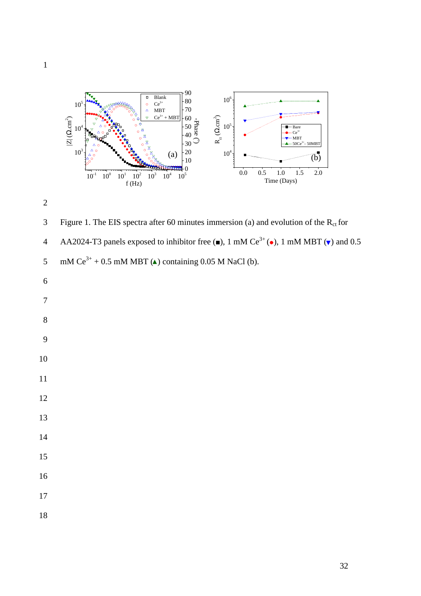



3 Figure 1. The EIS spectra after 60 minutes immersion (a) and evolution of the  $R_{ct}$  for AA2024-T3 panels exposed to inhibitor free  $(\bullet)$ , 1 mM Ce<sup>3+</sup> ( $\bullet$ ), 1 mM MBT ( $\nabla$ ) and 0.5 5 mM  $Ce^{3+} + 0.5$  mM MBT (A) containing 0.05 M NaCl (b).

- 
- 

 

- 
-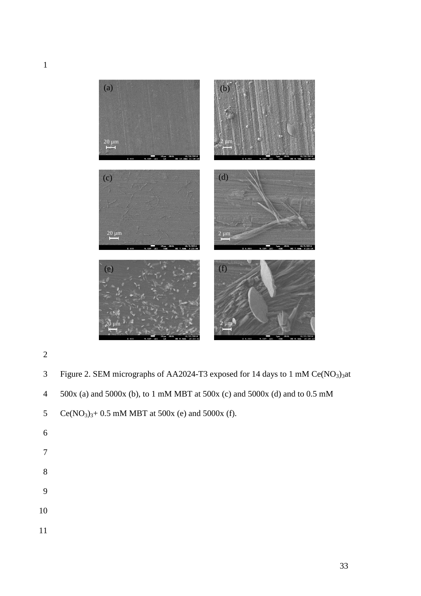

- 2
- 3 Figure 2. SEM micrographs of AA2024-T3 exposed for 14 days to 1 mM  $Ce(NO<sub>3</sub>)<sub>3</sub>$ at
- 4 500x (a) and 5000x (b), to 1 mM MBT at 500x (c) and 5000x (d) and to 0.5 mM

5 Ce(NO<sub>3</sub>)<sub>3</sub>+ 0.5 mM MBT at 500x (e) and 5000x (f).

- 6
- 7
- 8
- 9
- 10
- 11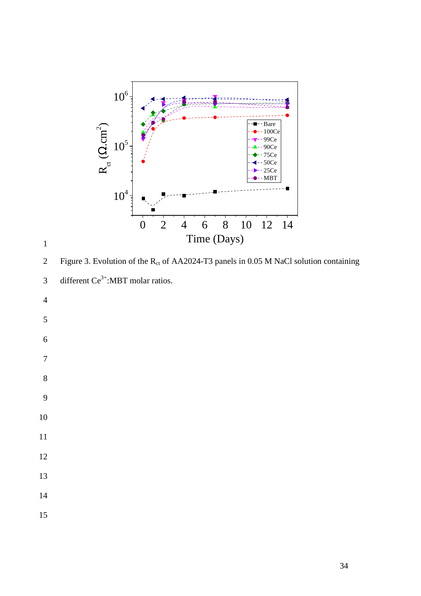



2 Figure 3. Evolution of the  $R_{ct}$  of AA2024-T3 panels in 0.05 M NaCl solution containing

3 different  $Ce^{3+}$ :MBT molar ratios.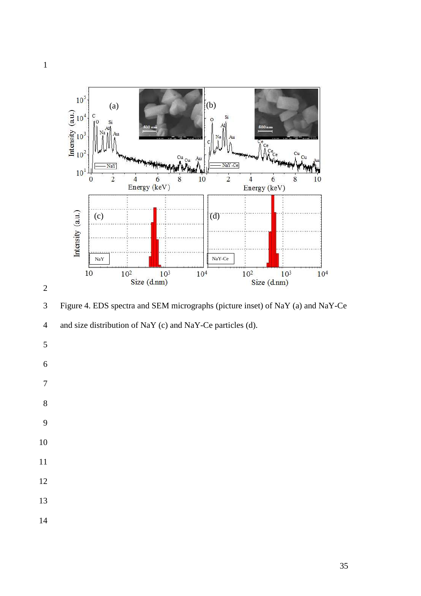



3 Figure 4. EDS spectra and SEM micrographs (picture inset) of NaY (a) and NaY-Ce

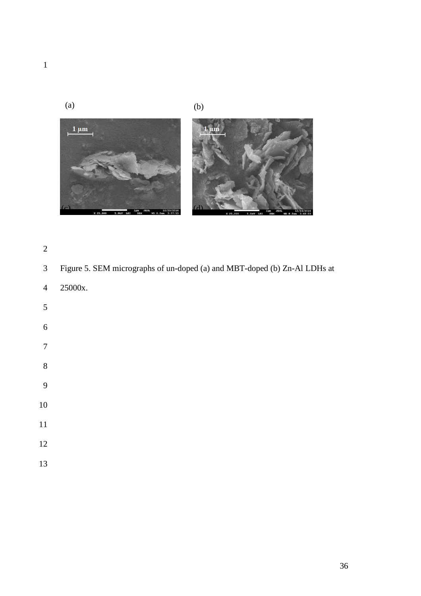





- 
- 3 Figure 5. SEM micrographs of un-doped (a) and MBT-doped (b) Zn-Al LDHs at
- 4 25000x.
- 
- 

- 
- 
- 
- 
- 
- 
- 
-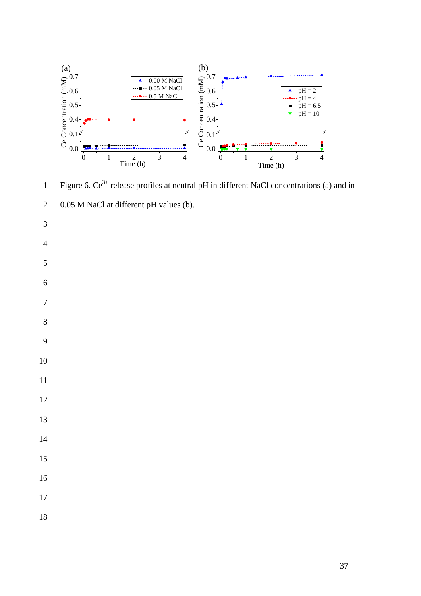

Figure 6.  $Ce^{3+}$  release profiles at neutral pH in different NaCl concentrations (a) and in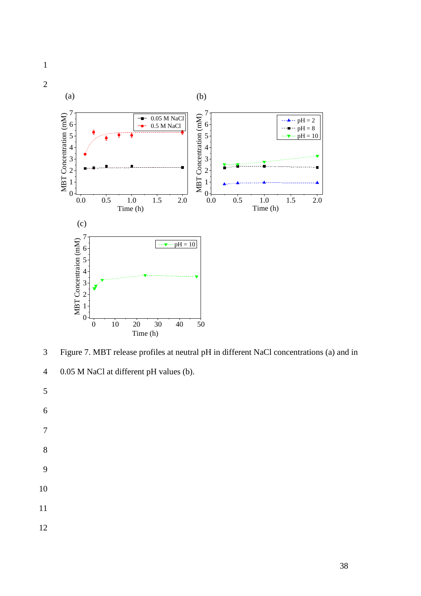

3 Figure 7. MBT release profiles at neutral pH in different NaCl concentrations (a) and in



- 
- 
-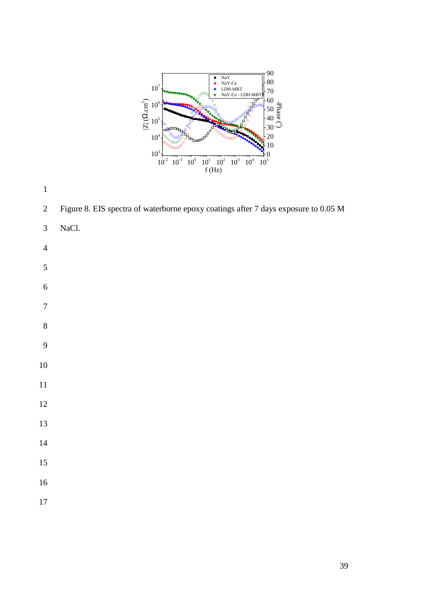

2 Figure 8. EIS spectra of waterborne epoxy coatings after 7 days exposure to 0.05 M

- 3 NaCl.
- 
- 
- 
- 

- 
- 
-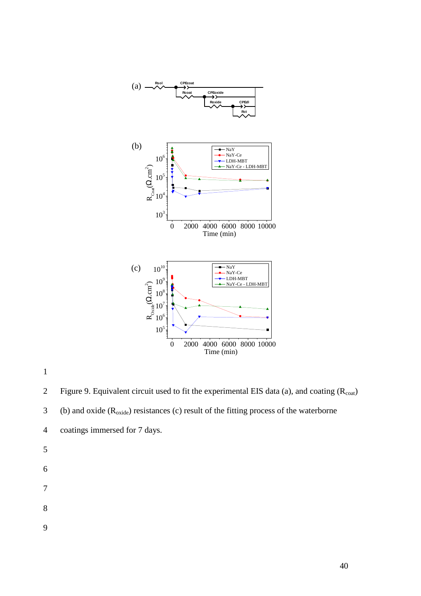

2 Figure 9. Equivalent circuit used to fit the experimental EIS data (a), and coating  $(R_{\text{coat}})$ 

3 (b) and oxide  $(R_{\text{oxide}})$  resistances (c) result of the fitting process of the waterborne

- 4 coatings immersed for 7 days.
- 5

- 7
- 
- 8
- 9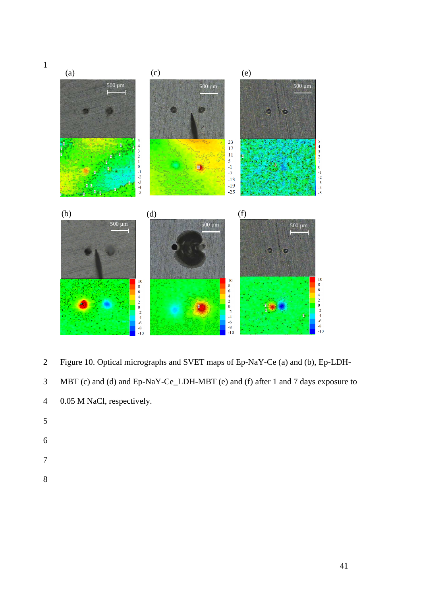

- 2 Figure 10. Optical micrographs and SVET maps of Ep-NaY-Ce (a) and (b), Ep-LDH-
- 3 MBT (c) and (d) and Ep-NaY-Ce\_LDH-MBT (e) and (f) after 1 and 7 days exposure to

- 5
- 6
- 
- 7
- 8

<sup>4 0.05</sup> M NaCl, respectively.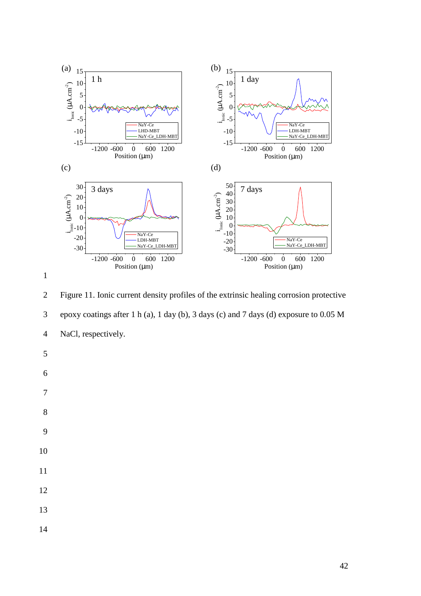



2 Figure 11. Ionic current density profiles of the extrinsic healing corrosion protective 3 epoxy coatings after 1 h (a), 1 day (b), 3 days (c) and 7 days (d) exposure to 0.05 M 4 NaCl, respectively. 5 6 7 8 9 10 11

- 12
- 13
- 14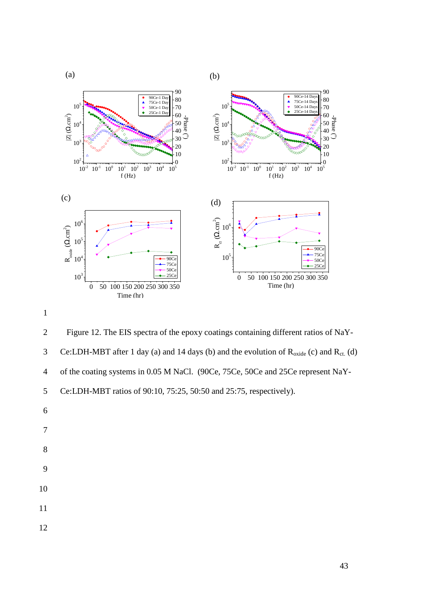

2 Figure 12. The EIS spectra of the epoxy coatings containing different ratios of NaY-Ce:LDH-MBT after 1 day (a) and 14 days (b) and the evolution of  $R_{\text{oxide}}$  (c) and  $R_{\text{ct}}$  (d) 4 of the coating systems in 0.05 M NaCl. (90Ce, 75Ce, 50Ce and 25Ce represent NaY-5 Ce:LDH-MBT ratios of 90:10, 75:25, 50:50 and 25:75, respectively).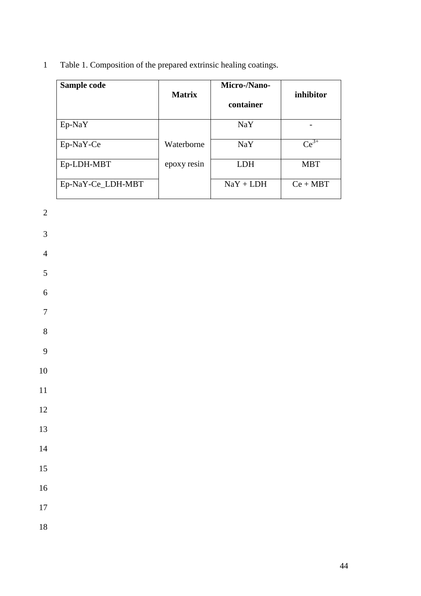1 Table 1. Composition of the prepared extrinsic healing coatings.

| Sample code       | <b>Matrix</b> | Micro-/Nano-<br>container | inhibitor  |
|-------------------|---------------|---------------------------|------------|
| $Ep-NaY$          |               | NaY                       |            |
| Ep-NaY-Ce         | Waterborne    | NaY                       | $Ce^{3+}$  |
| Ep-LDH-MBT        | epoxy resin   | LDH                       | <b>MBT</b> |
| Ep-NaY-Ce_LDH-MBT |               | $NaY + LDH$               | $Ce + MBT$ |

2

3

4

5

6

7 8

9

10

11

12

13

14

15

16

17